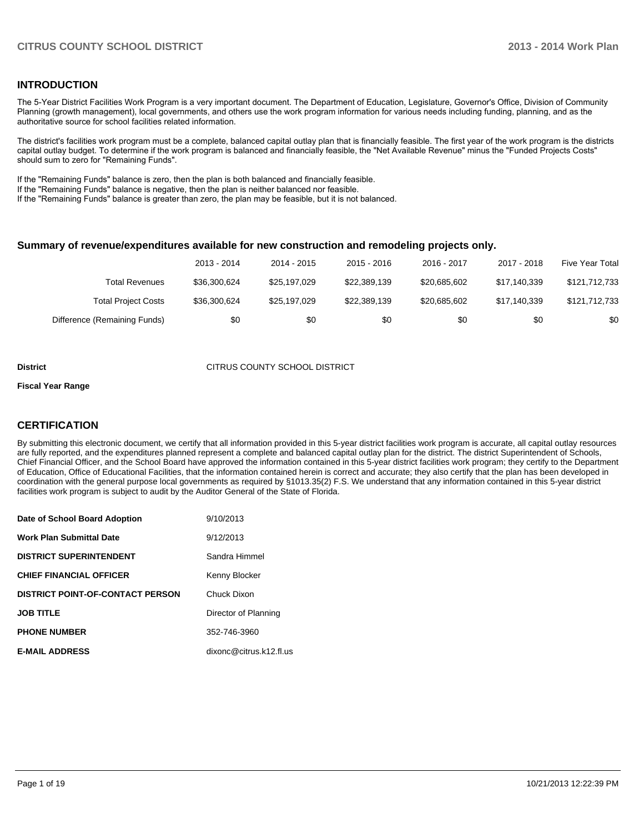### **INTRODUCTION**

The 5-Year District Facilities Work Program is a very important document. The Department of Education, Legislature, Governor's Office, Division of Community Planning (growth management), local governments, and others use the work program information for various needs including funding, planning, and as the authoritative source for school facilities related information.

The district's facilities work program must be a complete, balanced capital outlay plan that is financially feasible. The first year of the work program is the districts capital outlay budget. To determine if the work program is balanced and financially feasible, the "Net Available Revenue" minus the "Funded Projects Costs" should sum to zero for "Remaining Funds".

If the "Remaining Funds" balance is zero, then the plan is both balanced and financially feasible.

If the "Remaining Funds" balance is negative, then the plan is neither balanced nor feasible.

If the "Remaining Funds" balance is greater than zero, the plan may be feasible, but it is not balanced.

### **Summary of revenue/expenditures available for new construction and remodeling projects only.**

|                              | 2013 - 2014  | 2014 - 2015  | 2015 - 2016  | 2016 - 2017  | 2017 - 2018  | Five Year Total |
|------------------------------|--------------|--------------|--------------|--------------|--------------|-----------------|
| Total Revenues               | \$36,300,624 | \$25.197.029 | \$22.389.139 | \$20,685,602 | \$17,140,339 | \$121.712.733   |
| <b>Total Project Costs</b>   | \$36,300,624 | \$25.197.029 | \$22,389,139 | \$20,685,602 | \$17.140.339 | \$121,712,733   |
| Difference (Remaining Funds) | \$0          | \$0          | \$0          | \$0          | \$0          | \$0             |

#### **District CITRUS COUNTY SCHOOL DISTRICT**

#### **Fiscal Year Range**

### **CERTIFICATION**

By submitting this electronic document, we certify that all information provided in this 5-year district facilities work program is accurate, all capital outlay resources are fully reported, and the expenditures planned represent a complete and balanced capital outlay plan for the district. The district Superintendent of Schools, Chief Financial Officer, and the School Board have approved the information contained in this 5-year district facilities work program; they certify to the Department of Education, Office of Educational Facilities, that the information contained herein is correct and accurate; they also certify that the plan has been developed in coordination with the general purpose local governments as required by §1013.35(2) F.S. We understand that any information contained in this 5-year district facilities work program is subject to audit by the Auditor General of the State of Florida.

| Date of School Board Adoption           | 9/10/2013               |
|-----------------------------------------|-------------------------|
| <b>Work Plan Submittal Date</b>         | 9/12/2013               |
| <b>DISTRICT SUPERINTENDENT</b>          | Sandra Himmel           |
| <b>CHIEF FINANCIAL OFFICER</b>          | Kenny Blocker           |
| <b>DISTRICT POINT-OF-CONTACT PERSON</b> | Chuck Dixon             |
| <b>JOB TITLE</b>                        | Director of Planning    |
| <b>PHONE NUMBER</b>                     | 352-746-3960            |
| <b>E-MAIL ADDRESS</b>                   | dixonc@citrus.k12.fl.us |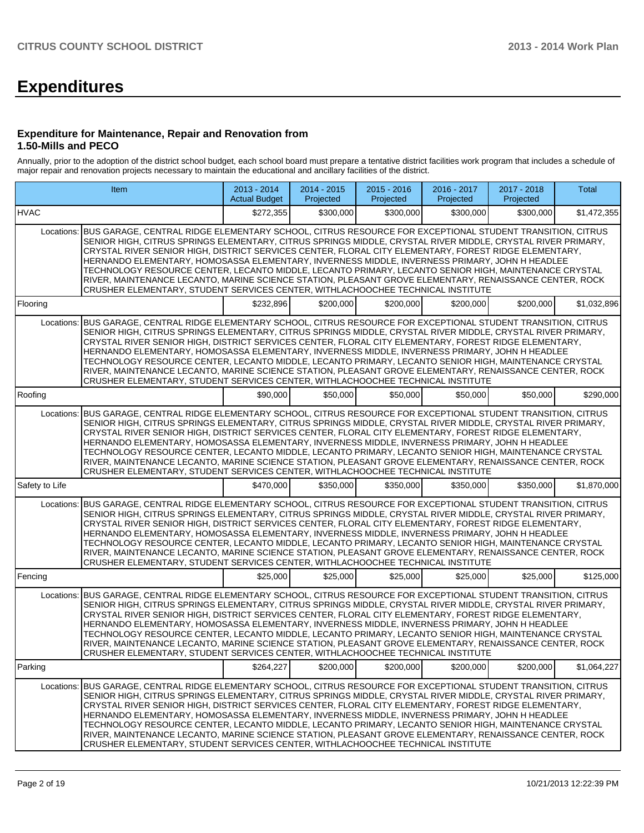# **Expenditures**

### **Expenditure for Maintenance, Repair and Renovation from 1.50-Mills and PECO**

Annually, prior to the adoption of the district school budget, each school board must prepare a tentative district facilities work program that includes a schedule of major repair and renovation projects necessary to maintain the educational and ancillary facilities of the district.

|                | Item                                                                                                                                                                                                                                                                                                                                                                                                                                                                                                                                                                                                                                                                                                                                     |           | 2014 - 2015<br>Projected | $2015 - 2016$<br>Projected | 2016 - 2017<br>Projected | 2017 - 2018<br>Projected | <b>Total</b> |
|----------------|------------------------------------------------------------------------------------------------------------------------------------------------------------------------------------------------------------------------------------------------------------------------------------------------------------------------------------------------------------------------------------------------------------------------------------------------------------------------------------------------------------------------------------------------------------------------------------------------------------------------------------------------------------------------------------------------------------------------------------------|-----------|--------------------------|----------------------------|--------------------------|--------------------------|--------------|
| <b>HVAC</b>    |                                                                                                                                                                                                                                                                                                                                                                                                                                                                                                                                                                                                                                                                                                                                          | \$272,355 | \$300,000                | \$300,000                  | \$300,000                | \$300,000                | \$1,472,355  |
| Locations:     | BUS GARAGE, CENTRAL RIDGE ELEMENTARY SCHOOL, CITRUS RESOURCE FOR EXCEPTIONAL STUDENT TRANSITION, CITRUS<br>SENIOR HIGH, CITRUS SPRINGS ELEMENTARY, CITRUS SPRINGS MIDDLE, CRYSTAL RIVER MIDDLE, CRYSTAL RIVER PRIMARY,<br>CRYSTAL RIVER SENIOR HIGH, DISTRICT SERVICES CENTER, FLORAL CITY ELEMENTARY, FOREST RIDGE ELEMENTARY,<br>HERNANDO ELEMENTARY, HOMOSASSA ELEMENTARY, INVERNESS MIDDLE, INVERNESS PRIMARY, JOHN H HEADLEE<br>TECHNOLOGY RESOURCE CENTER, LECANTO MIDDLE, LECANTO PRIMARY, LECANTO SENIOR HIGH, MAINTENANCE CRYSTAL<br>RIVER, MAINTENANCE LECANTO, MARINE SCIENCE STATION, PLEASANT GROVE ELEMENTARY, RENAISSANCE CENTER, ROCK<br>CRUSHER ELEMENTARY, STUDENT SERVICES CENTER, WITHLACHOOCHEE TECHNICAL INSTITUTE |           |                          |                            |                          |                          |              |
| Flooring       |                                                                                                                                                                                                                                                                                                                                                                                                                                                                                                                                                                                                                                                                                                                                          | \$232,896 | \$200,000                | \$200,000                  | \$200,000                | \$200,000                | \$1,032,896  |
| Locations:     | BUS GARAGE, CENTRAL RIDGE ELEMENTARY SCHOOL, CITRUS RESOURCE FOR EXCEPTIONAL STUDENT TRANSITION, CITRUS<br>SENIOR HIGH, CITRUS SPRINGS ELEMENTARY, CITRUS SPRINGS MIDDLE, CRYSTAL RIVER MIDDLE, CRYSTAL RIVER PRIMARY,<br>CRYSTAL RIVER SENIOR HIGH, DISTRICT SERVICES CENTER, FLORAL CITY ELEMENTARY, FOREST RIDGE ELEMENTARY,<br>HERNANDO ELEMENTARY, HOMOSASSA ELEMENTARY, INVERNESS MIDDLE, INVERNESS PRIMARY, JOHN H HEADLEE<br>TECHNOLOGY RESOURCE CENTER, LECANTO MIDDLE, LECANTO PRIMARY, LECANTO SENIOR HIGH, MAINTENANCE CRYSTAL<br>RIVER, MAINTENANCE LECANTO, MARINE SCIENCE STATION, PLEASANT GROVE ELEMENTARY, RENAISSANCE CENTER, ROCK<br>CRUSHER ELEMENTARY, STUDENT SERVICES CENTER, WITHLACHOOCHEE TECHNICAL INSTITUTE |           |                          |                            |                          |                          |              |
| Roofing        |                                                                                                                                                                                                                                                                                                                                                                                                                                                                                                                                                                                                                                                                                                                                          | \$90,000  | \$50,000                 | \$50,000                   | \$50,000                 | \$50,000                 | \$290.000    |
| Locations:     | BUS GARAGE, CENTRAL RIDGE ELEMENTARY SCHOOL, CITRUS RESOURCE FOR EXCEPTIONAL STUDENT TRANSITION, CITRUS<br>SENIOR HIGH, CITRUS SPRINGS ELEMENTARY, CITRUS SPRINGS MIDDLE, CRYSTAL RIVER MIDDLE, CRYSTAL RIVER PRIMARY,<br>CRYSTAL RIVER SENIOR HIGH, DISTRICT SERVICES CENTER, FLORAL CITY ELEMENTARY, FOREST RIDGE ELEMENTARY,<br>HERNANDO ELEMENTARY, HOMOSASSA ELEMENTARY, INVERNESS MIDDLE, INVERNESS PRIMARY, JOHN H HEADLEE<br>TECHNOLOGY RESOURCE CENTER, LECANTO MIDDLE, LECANTO PRIMARY, LECANTO SENIOR HIGH, MAINTENANCE CRYSTAL<br>RIVER, MAINTENANCE LECANTO, MARINE SCIENCE STATION, PLEASANT GROVE ELEMENTARY, RENAISSANCE CENTER, ROCK<br>CRUSHER ELEMENTARY, STUDENT SERVICES CENTER, WITHLACHOOCHEE TECHNICAL INSTITUTE |           |                          |                            |                          |                          |              |
| Safety to Life |                                                                                                                                                                                                                                                                                                                                                                                                                                                                                                                                                                                                                                                                                                                                          | \$470,000 | \$350,000                | \$350,000                  | \$350,000                | \$350,000                | \$1,870,000  |
| Locations:     | BUS GARAGE, CENTRAL RIDGE ELEMENTARY SCHOOL, CITRUS RESOURCE FOR EXCEPTIONAL STUDENT TRANSITION, CITRUS<br>SENIOR HIGH, CITRUS SPRINGS ELEMENTARY, CITRUS SPRINGS MIDDLE, CRYSTAL RIVER MIDDLE, CRYSTAL RIVER PRIMARY,<br>CRYSTAL RIVER SENIOR HIGH, DISTRICT SERVICES CENTER, FLORAL CITY ELEMENTARY, FOREST RIDGE ELEMENTARY,<br>HERNANDO ELEMENTARY, HOMOSASSA ELEMENTARY, INVERNESS MIDDLE, INVERNESS PRIMARY, JOHN H HEADLEE<br>TECHNOLOGY RESOURCE CENTER, LECANTO MIDDLE, LECANTO PRIMARY, LECANTO SENIOR HIGH, MAINTENANCE CRYSTAL<br>RIVER, MAINTENANCE LECANTO, MARINE SCIENCE STATION, PLEASANT GROVE ELEMENTARY, RENAISSANCE CENTER, ROCK<br>CRUSHER ELEMENTARY, STUDENT SERVICES CENTER, WITHLACHOOCHEE TECHNICAL INSTITUTE |           |                          |                            |                          |                          |              |
| Fencing        |                                                                                                                                                                                                                                                                                                                                                                                                                                                                                                                                                                                                                                                                                                                                          | \$25,000  | \$25,000                 | \$25,000                   | \$25,000                 | \$25,000                 | \$125,000    |
| Locations:     | BUS GARAGE, CENTRAL RIDGE ELEMENTARY SCHOOL, CITRUS RESOURCE FOR EXCEPTIONAL STUDENT TRANSITION, CITRUS<br>SENIOR HIGH, CITRUS SPRINGS ELEMENTARY, CITRUS SPRINGS MIDDLE, CRYSTAL RIVER MIDDLE, CRYSTAL RIVER PRIMARY,<br>CRYSTAL RIVER SENIOR HIGH, DISTRICT SERVICES CENTER, FLORAL CITY ELEMENTARY, FOREST RIDGE ELEMENTARY,<br>HERNANDO ELEMENTARY, HOMOSASSA ELEMENTARY, INVERNESS MIDDLE, INVERNESS PRIMARY, JOHN H HEADLEE<br>TECHNOLOGY RESOURCE CENTER. LECANTO MIDDLE, LECANTO PRIMARY, LECANTO SENIOR HIGH, MAINTENANCE CRYSTAL<br>RIVER, MAINTENANCE LECANTO, MARINE SCIENCE STATION, PLEASANT GROVE ELEMENTARY, RENAISSANCE CENTER, ROCK<br>CRUSHER ELEMENTARY, STUDENT SERVICES CENTER, WITHLACHOOCHEE TECHNICAL INSTITUTE |           |                          |                            |                          |                          |              |
| Parking        |                                                                                                                                                                                                                                                                                                                                                                                                                                                                                                                                                                                                                                                                                                                                          | \$264,227 | \$200,000                | \$200,000                  | \$200,000                | \$200,000                | \$1,064,227  |
| Locations:     | BUS GARAGE, CENTRAL RIDGE ELEMENTARY SCHOOL, CITRUS RESOURCE FOR EXCEPTIONAL STUDENT TRANSITION, CITRUS<br>SENIOR HIGH, CITRUS SPRINGS ELEMENTARY, CITRUS SPRINGS MIDDLE, CRYSTAL RIVER MIDDLE, CRYSTAL RIVER PRIMARY,<br>CRYSTAL RIVER SENIOR HIGH. DISTRICT SERVICES CENTER. FLORAL CITY ELEMENTARY. FOREST RIDGE ELEMENTARY.<br>HERNANDO ELEMENTARY, HOMOSASSA ELEMENTARY, INVERNESS MIDDLE, INVERNESS PRIMARY, JOHN H HEADLEE<br>TECHNOLOGY RESOURCE CENTER, LECANTO MIDDLE, LECANTO PRIMARY, LECANTO SENIOR HIGH, MAINTENANCE CRYSTAL<br>RIVER, MAINTENANCE LECANTO, MARINE SCIENCE STATION, PLEASANT GROVE ELEMENTARY, RENAISSANCE CENTER, ROCK<br>CRUSHER ELEMENTARY, STUDENT SERVICES CENTER, WITHLACHOOCHEE TECHNICAL INSTITUTE |           |                          |                            |                          |                          |              |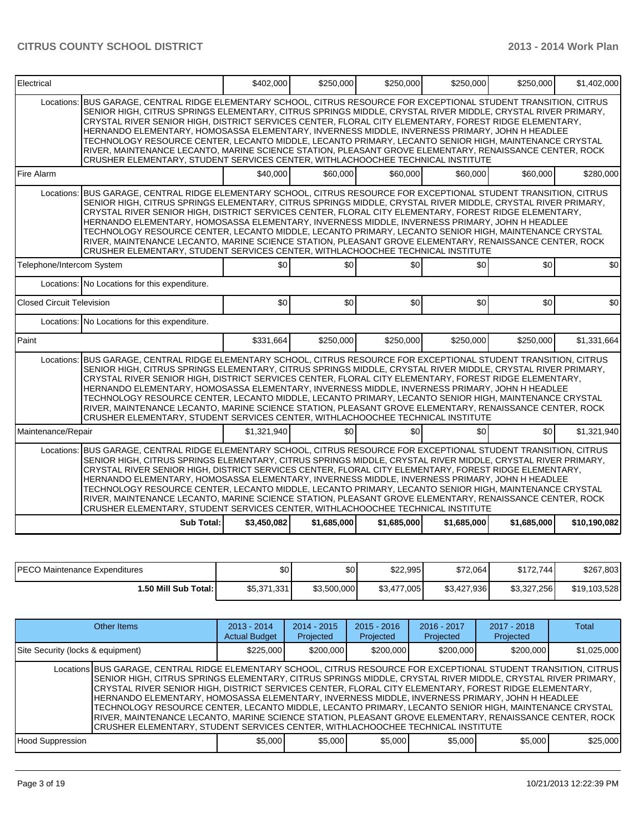| Electrical                       |                                                                                                                                                                                                                                                                                                                                                                                                                                                                                                                                                                                                                                                                                                                                                     | \$402,000   | \$250,000      | \$250,000   | \$250,000   | \$250.000   | \$1,402,000  |
|----------------------------------|-----------------------------------------------------------------------------------------------------------------------------------------------------------------------------------------------------------------------------------------------------------------------------------------------------------------------------------------------------------------------------------------------------------------------------------------------------------------------------------------------------------------------------------------------------------------------------------------------------------------------------------------------------------------------------------------------------------------------------------------------------|-------------|----------------|-------------|-------------|-------------|--------------|
|                                  | Locations: BUS GARAGE, CENTRAL RIDGE ELEMENTARY SCHOOL, CITRUS RESOURCE FOR EXCEPTIONAL STUDENT TRANSITION, CITRUS<br>SENIOR HIGH, CITRUS SPRINGS ELEMENTARY, CITRUS SPRINGS MIDDLE, CRYSTAL RIVER MIDDLE, CRYSTAL RIVER PRIMARY,<br>CRYSTAL RIVER SENIOR HIGH, DISTRICT SERVICES CENTER, FLORAL CITY ELEMENTARY, FOREST RIDGE ELEMENTARY,<br>HERNANDO ELEMENTARY, HOMOSASSA ELEMENTARY, INVERNESS MIDDLE, INVERNESS PRIMARY, JOHN H HEADLEE<br>TECHNOLOGY RESOURCE CENTER, LECANTO MIDDLE, LECANTO PRIMARY, LECANTO SENIOR HIGH, MAINTENANCE CRYSTAL<br>RIVER, MAINTENANCE LECANTO, MARINE SCIENCE STATION, PLEASANT GROVE ELEMENTARY, RENAISSANCE CENTER, ROCK<br>CRUSHER ELEMENTARY, STUDENT SERVICES CENTER, WITHLACHOOCHEE TECHNICAL INSTITUTE |             |                |             |             |             |              |
| Fire Alarm                       |                                                                                                                                                                                                                                                                                                                                                                                                                                                                                                                                                                                                                                                                                                                                                     | \$40,000    | \$60,000       | \$60,000    | \$60,000    | \$60,000    | \$280,000    |
|                                  | Locations: BUS GARAGE, CENTRAL RIDGE ELEMENTARY SCHOOL, CITRUS RESOURCE FOR EXCEPTIONAL STUDENT TRANSITION, CITRUS<br>SENIOR HIGH, CITRUS SPRINGS ELEMENTARY, CITRUS SPRINGS MIDDLE, CRYSTAL RIVER MIDDLE, CRYSTAL RIVER PRIMARY,<br>CRYSTAL RIVER SENIOR HIGH, DISTRICT SERVICES CENTER, FLORAL CITY ELEMENTARY, FOREST RIDGE ELEMENTARY,<br>HERNANDO ELEMENTARY, HOMOSASSA ELEMENTARY, INVERNESS MIDDLE, INVERNESS PRIMARY, JOHN H HEADLEE<br>TECHNOLOGY RESOURCE CENTER, LECANTO MIDDLE, LECANTO PRIMARY, LECANTO SENIOR HIGH, MAINTENANCE CRYSTAL<br>RIVER, MAINTENANCE LECANTO, MARINE SCIENCE STATION, PLEASANT GROVE ELEMENTARY, RENAISSANCE CENTER, ROCK<br>CRUSHER ELEMENTARY, STUDENT SERVICES CENTER, WITHLACHOOCHEE TECHNICAL INSTITUTE |             |                |             |             |             |              |
| Telephone/Intercom System        |                                                                                                                                                                                                                                                                                                                                                                                                                                                                                                                                                                                                                                                                                                                                                     | \$0         | $\frac{1}{20}$ | \$0         | \$0         | \$0         | \$0          |
|                                  | Locations: No Locations for this expenditure.                                                                                                                                                                                                                                                                                                                                                                                                                                                                                                                                                                                                                                                                                                       |             |                |             |             |             |              |
| <b>Closed Circuit Television</b> |                                                                                                                                                                                                                                                                                                                                                                                                                                                                                                                                                                                                                                                                                                                                                     | \$0         | \$0            | \$0         | \$0]        | \$0         | \$0          |
|                                  | Locations: No Locations for this expenditure.                                                                                                                                                                                                                                                                                                                                                                                                                                                                                                                                                                                                                                                                                                       |             |                |             |             |             |              |
| Paint                            |                                                                                                                                                                                                                                                                                                                                                                                                                                                                                                                                                                                                                                                                                                                                                     | \$331,664   | \$250,000      | \$250,000   | \$250,000   | \$250,000   | \$1,331,664  |
| Locations:                       | BUS GARAGE. CENTRAL RIDGE ELEMENTARY SCHOOL. CITRUS RESOURCE FOR EXCEPTIONAL STUDENT TRANSITION. CITRUS<br>SENIOR HIGH, CITRUS SPRINGS ELEMENTARY, CITRUS SPRINGS MIDDLE, CRYSTAL RIVER MIDDLE, CRYSTAL RIVER PRIMARY,<br>CRYSTAL RIVER SENIOR HIGH, DISTRICT SERVICES CENTER, FLORAL CITY ELEMENTARY, FOREST RIDGE ELEMENTARY,<br>HERNANDO ELEMENTARY, HOMOSASSA ELEMENTARY, INVERNESS MIDDLE, INVERNESS PRIMARY, JOHN H HEADLEE<br>TECHNOLOGY RESOURCE CENTER, LECANTO MIDDLE, LECANTO PRIMARY, LECANTO SENIOR HIGH, MAINTENANCE CRYSTAL<br>RIVER, MAINTENANCE LECANTO, MARINE SCIENCE STATION, PLEASANT GROVE ELEMENTARY, RENAISSANCE CENTER, ROCK<br>CRUSHER ELEMENTARY, STUDENT SERVICES CENTER, WITHLACHOOCHEE TECHNICAL INSTITUTE            |             |                |             |             |             |              |
| Maintenance/Repair               |                                                                                                                                                                                                                                                                                                                                                                                                                                                                                                                                                                                                                                                                                                                                                     | \$1.321.940 | \$0            | \$0         | sol         | \$0         | \$1.321.940  |
|                                  | Locations: BUS GARAGE, CENTRAL RIDGE ELEMENTARY SCHOOL, CITRUS RESOURCE FOR EXCEPTIONAL STUDENT TRANSITION, CITRUS<br>SENIOR HIGH, CITRUS SPRINGS ELEMENTARY, CITRUS SPRINGS MIDDLE, CRYSTAL RIVER MIDDLE, CRYSTAL RIVER PRIMARY,<br>CRYSTAL RIVER SENIOR HIGH, DISTRICT SERVICES CENTER, FLORAL CITY ELEMENTARY, FOREST RIDGE ELEMENTARY,<br>HERNANDO ELEMENTARY, HOMOSASSA ELEMENTARY, INVERNESS MIDDLE, INVERNESS PRIMARY, JOHN H HEADLEE<br>TECHNOLOGY RESOURCE CENTER, LECANTO MIDDLE, LECANTO PRIMARY, LECANTO SENIOR HIGH, MAINTENANCE CRYSTAL<br>RIVER, MAINTENANCE LECANTO, MARINE SCIENCE STATION, PLEASANT GROVE ELEMENTARY, RENAISSANCE CENTER, ROCK<br>CRUSHER ELEMENTARY, STUDENT SERVICES CENTER, WITHLACHOOCHEE TECHNICAL INSTITUTE |             |                |             |             |             |              |
|                                  | Sub Total:                                                                                                                                                                                                                                                                                                                                                                                                                                                                                                                                                                                                                                                                                                                                          | \$3,450,082 | \$1,685,000    | \$1,685,000 | \$1,685,000 | \$1,685,000 | \$10,190,082 |

| <b>IPECO Maintenance Expenditures</b> | \$0         | \$0         | \$22,995    | \$72,064    | \$172.744   | \$267,803    |
|---------------------------------------|-------------|-------------|-------------|-------------|-------------|--------------|
| 1.50 Mill Sub Total: I                | \$5,371,331 | \$3,500,000 | \$3,477,005 | \$3,427,936 | \$3,327,256 | \$19,103,528 |

| Other Items                                                                                                                                                                                                                                                                                                                                                                                                                                                                                                                                                                                                                                                                                                                                          | $2013 - 2014$<br><b>Actual Budget</b> | $2014 - 2015$<br>Projected | $2015 - 2016$<br>Projected | $2016 - 2017$<br>Projected | $2017 - 2018$<br>Projected | Total       |
|------------------------------------------------------------------------------------------------------------------------------------------------------------------------------------------------------------------------------------------------------------------------------------------------------------------------------------------------------------------------------------------------------------------------------------------------------------------------------------------------------------------------------------------------------------------------------------------------------------------------------------------------------------------------------------------------------------------------------------------------------|---------------------------------------|----------------------------|----------------------------|----------------------------|----------------------------|-------------|
| Site Security (locks & equipment)                                                                                                                                                                                                                                                                                                                                                                                                                                                                                                                                                                                                                                                                                                                    | \$225,000                             | \$200,000                  | \$200,000                  | \$200,000                  | \$200,000                  | \$1,025,000 |
| Locations BUS GARAGE, CENTRAL RIDGE ELEMENTARY SCHOOL, CITRUS RESOURCE FOR EXCEPTIONAL STUDENT TRANSITION, CITRUS<br>[SENIOR HIGH, CITRUS SPRINGS ELEMENTARY, CITRUS SPRINGS MIDDLE, CRYSTAL RIVER MIDDLE, CRYSTAL RIVER PRIMARY,<br>CRYSTAL RIVER SENIOR HIGH, DISTRICT SERVICES CENTER, FLORAL CITY ELEMENTARY, FOREST RIDGE ELEMENTARY,<br>HERNANDO ELEMENTARY, HOMOSASSA ELEMENTARY, INVERNESS MIDDLE, INVERNESS PRIMARY, JOHN H HEADLEE<br>TECHNOLOGY RESOURCE CENTER, LECANTO MIDDLE, LECANTO PRIMARY, LECANTO SENIOR HIGH, MAINTENANCE CRYSTAL<br>IRIVER, MAINTENANCE LECANTO, MARINE SCIENCE STATION, PLEASANT GROVE ELEMENTARY, RENAISSANCE CENTER, ROCK<br>CRUSHER ELEMENTARY, STUDENT SERVICES CENTER, WITHLACHOOCHEE TECHNICAL INSTITUTE |                                       |                            |                            |                            |                            |             |
| Hood Suppression                                                                                                                                                                                                                                                                                                                                                                                                                                                                                                                                                                                                                                                                                                                                     | \$5,000                               | \$5.000                    | \$5,000                    | \$5.000                    | \$5,000                    | \$25,000    |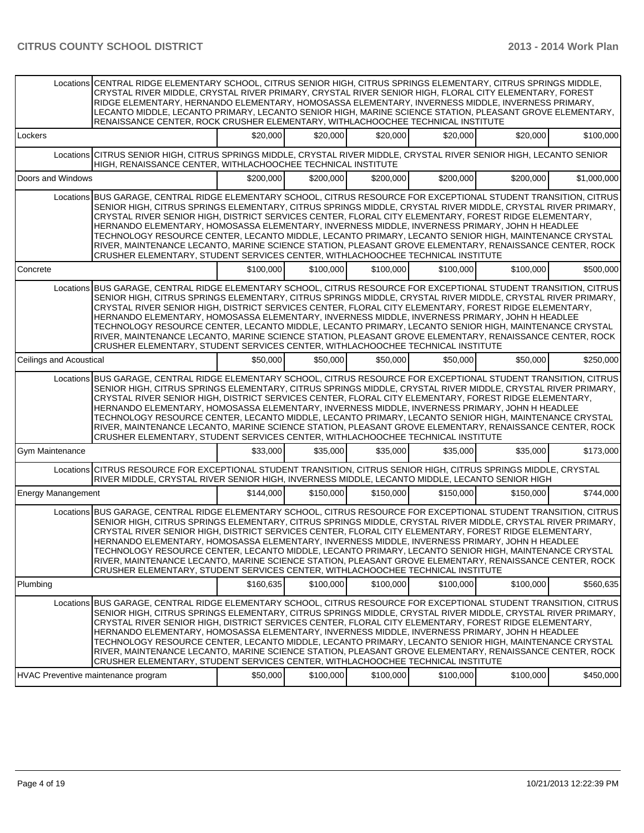|                           | Locations CENTRAL RIDGE ELEMENTARY SCHOOL, CITRUS SENIOR HIGH, CITRUS SPRINGS ELEMENTARY, CITRUS SPRINGS MIDDLE,<br>CRYSTAL RIVER MIDDLE, CRYSTAL RIVER PRIMARY, CRYSTAL RIVER SENIOR HIGH, FLORAL CITY ELEMENTARY, FOREST<br>RIDGE ELEMENTARY, HERNANDO ELEMENTARY, HOMOSASSA ELEMENTARY, INVERNESS MIDDLE, INVERNESS PRIMARY,<br>LECANTO MIDDLE, LECANTO PRIMARY, LECANTO SENIOR HIGH, MARINE SCIENCE STATION, PLEASANT GROVE ELEMENTARY,<br>RENAISSANCE CENTER, ROCK CRUSHER ELEMENTARY, WITHLACHOOCHEE TECHNICAL INSTITUTE                                                                                                                                                                                                                     |           |           |           |           |           |             |  |  |
|---------------------------|----------------------------------------------------------------------------------------------------------------------------------------------------------------------------------------------------------------------------------------------------------------------------------------------------------------------------------------------------------------------------------------------------------------------------------------------------------------------------------------------------------------------------------------------------------------------------------------------------------------------------------------------------------------------------------------------------------------------------------------------------|-----------|-----------|-----------|-----------|-----------|-------------|--|--|
| Lockers                   |                                                                                                                                                                                                                                                                                                                                                                                                                                                                                                                                                                                                                                                                                                                                                    | \$20,000  | \$20,000  | \$20,000  | \$20,000  | \$20,000  | \$100,000   |  |  |
|                           | Locations CITRUS SENIOR HIGH, CITRUS SPRINGS MIDDLE, CRYSTAL RIVER MIDDLE, CRYSTAL RIVER SENIOR HIGH, LECANTO SENIOR<br>HIGH, RENAISSANCE CENTER, WITHLACHOOCHEE TECHNICAL INSTITUTE                                                                                                                                                                                                                                                                                                                                                                                                                                                                                                                                                               |           |           |           |           |           |             |  |  |
| Doors and Windows         |                                                                                                                                                                                                                                                                                                                                                                                                                                                                                                                                                                                                                                                                                                                                                    | \$200,000 | \$200,000 | \$200,000 | \$200,000 | \$200,000 | \$1,000,000 |  |  |
|                           | Locations BUS GARAGE, CENTRAL RIDGE ELEMENTARY SCHOOL, CITRUS RESOURCE FOR EXCEPTIONAL STUDENT TRANSITION, CITRUS<br>SENIOR HIGH, CITRUS SPRINGS ELEMENTARY, CITRUS SPRINGS MIDDLE, CRYSTAL RIVER MIDDLE, CRYSTAL RIVER PRIMARY,<br>CRYSTAL RIVER SENIOR HIGH, DISTRICT SERVICES CENTER, FLORAL CITY ELEMENTARY, FOREST RIDGE ELEMENTARY,<br>HERNANDO ELEMENTARY, HOMOSASSA ELEMENTARY, INVERNESS MIDDLE, INVERNESS PRIMARY, JOHN H HEADLEE<br>TECHNOLOGY RESOURCE CENTER, LECANTO MIDDLE, LECANTO PRIMARY, LECANTO SENIOR HIGH, MAINTENANCE CRYSTAL<br>RIVER, MAINTENANCE LECANTO, MARINE SCIENCE STATION, PLEASANT GROVE ELEMENTARY, RENAISSANCE CENTER, ROCK<br>CRUSHER ELEMENTARY, STUDENT SERVICES CENTER, WITHLACHOOCHEE TECHNICAL INSTITUTE |           |           |           |           |           |             |  |  |
| Concrete                  |                                                                                                                                                                                                                                                                                                                                                                                                                                                                                                                                                                                                                                                                                                                                                    | \$100,000 | \$100,000 | \$100,000 | \$100,000 | \$100,000 | \$500,000   |  |  |
|                           | Locations BUS GARAGE, CENTRAL RIDGE ELEMENTARY SCHOOL, CITRUS RESOURCE FOR EXCEPTIONAL STUDENT TRANSITION, CITRUS<br>SENIOR HIGH, CITRUS SPRINGS ELEMENTARY, CITRUS SPRINGS MIDDLE, CRYSTAL RIVER MIDDLE, CRYSTAL RIVER PRIMARY,<br>CRYSTAL RIVER SENIOR HIGH, DISTRICT SERVICES CENTER, FLORAL CITY ELEMENTARY, FOREST RIDGE ELEMENTARY,<br>HERNANDO ELEMENTARY, HOMOSASSA ELEMENTARY, INVERNESS MIDDLE, INVERNESS PRIMARY, JOHN H HEADLEE<br>TECHNOLOGY RESOURCE CENTER, LECANTO MIDDLE, LECANTO PRIMARY, LECANTO SENIOR HIGH, MAINTENANCE CRYSTAL<br>RIVER, MAINTENANCE LECANTO, MARINE SCIENCE STATION, PLEASANT GROVE ELEMENTARY, RENAISSANCE CENTER, ROCK<br>CRUSHER ELEMENTARY, STUDENT SERVICES CENTER, WITHLACHOOCHEE TECHNICAL INSTITUTE |           |           |           |           |           |             |  |  |
| Ceilings and Acoustical   |                                                                                                                                                                                                                                                                                                                                                                                                                                                                                                                                                                                                                                                                                                                                                    | \$50,000  | \$50,000  | \$50,000  | \$50,000  | \$50,000  | \$250,000   |  |  |
|                           | Locations BUS GARAGE, CENTRAL RIDGE ELEMENTARY SCHOOL, CITRUS RESOURCE FOR EXCEPTIONAL STUDENT TRANSITION, CITRUS<br>SENIOR HIGH, CITRUS SPRINGS ELEMENTARY, CITRUS SPRINGS MIDDLE, CRYSTAL RIVER MIDDLE, CRYSTAL RIVER PRIMARY,<br>CRYSTAL RIVER SENIOR HIGH, DISTRICT SERVICES CENTER, FLORAL CITY ELEMENTARY, FOREST RIDGE ELEMENTARY,<br>HERNANDO ELEMENTARY, HOMOSASSA ELEMENTARY, INVERNESS MIDDLE, INVERNESS PRIMARY, JOHN H HEADLEE<br>TECHNOLOGY RESOURCE CENTER, LECANTO MIDDLE, LECANTO PRIMARY, LECANTO SENIOR HIGH, MAINTENANCE CRYSTAL<br>RIVER, MAINTENANCE LECANTO, MARINE SCIENCE STATION, PLEASANT GROVE ELEMENTARY, RENAISSANCE CENTER, ROCK<br>CRUSHER ELEMENTARY, STUDENT SERVICES CENTER, WITHLACHOOCHEE TECHNICAL INSTITUTE |           |           |           |           |           |             |  |  |
| <b>Gym Maintenance</b>    |                                                                                                                                                                                                                                                                                                                                                                                                                                                                                                                                                                                                                                                                                                                                                    | \$33,000  | \$35,000  | \$35,000  | \$35,000  | \$35,000  | \$173,000   |  |  |
|                           | Locations CITRUS RESOURCE FOR EXCEPTIONAL STUDENT TRANSITION, CITRUS SENIOR HIGH, CITRUS SPRINGS MIDDLE, CRYSTAL<br>RIVER MIDDLE, CRYSTAL RIVER SENIOR HIGH, INVERNESS MIDDLE, LECANTO MIDDLE, LECANTO SENIOR HIGH                                                                                                                                                                                                                                                                                                                                                                                                                                                                                                                                 |           |           |           |           |           |             |  |  |
| <b>Energy Manangement</b> |                                                                                                                                                                                                                                                                                                                                                                                                                                                                                                                                                                                                                                                                                                                                                    | \$144.000 | \$150,000 | \$150,000 | \$150,000 | \$150,000 | \$744,000   |  |  |
|                           | Locations BUS GARAGE, CENTRAL RIDGE ELEMENTARY SCHOOL, CITRUS RESOURCE FOR EXCEPTIONAL STUDENT TRANSITION, CITRUS<br>SENIOR HIGH, CITRUS SPRINGS ELEMENTARY, CITRUS SPRINGS MIDDLE, CRYSTAL RIVER MIDDLE, CRYSTAL RIVER PRIMARY,<br>CRYSTAL RIVER SENIOR HIGH, DISTRICT SERVICES CENTER, FLORAL CITY ELEMENTARY, FOREST RIDGE ELEMENTARY,<br>HERNANDO ELEMENTARY, HOMOSASSA ELEMENTARY, INVERNESS MIDDLE, INVERNESS PRIMARY, JOHN H HEADLEE<br>TECHNOLOGY RESOURCE CENTER, LECANTO MIDDLE, LECANTO PRIMARY, LECANTO SENIOR HIGH, MAINTENANCE CRYSTAL<br>RIVER, MAINTENANCE LECANTO. MARINE SCIENCE STATION, PLEASANT GROVE ELEMENTARY, RENAISSANCE CENTER, ROCK<br>CRUSHER ELEMENTARY, STUDENT SERVICES CENTER, WITHLACHOOCHEE TECHNICAL INSTITUTE |           |           |           |           |           |             |  |  |
| Plumbing                  |                                                                                                                                                                                                                                                                                                                                                                                                                                                                                                                                                                                                                                                                                                                                                    | \$160,635 | \$100,000 | \$100,000 | \$100,000 | \$100,000 | \$560,635   |  |  |
|                           | Locations BUS GARAGE. CENTRAL RIDGE ELEMENTARY SCHOOL. CITRUS RESOURCE FOR EXCEPTIONAL STUDENT TRANSITION. CITRUS<br>SENIOR HIGH, CITRUS SPRINGS ELEMENTARY, CITRUS SPRINGS MIDDLE, CRYSTAL RIVER MIDDLE, CRYSTAL RIVER PRIMARY,<br>CRYSTAL RIVER SENIOR HIGH, DISTRICT SERVICES CENTER, FLORAL CITY ELEMENTARY, FOREST RIDGE ELEMENTARY,<br>HERNANDO ELEMENTARY, HOMOSASSA ELEMENTARY, INVERNESS MIDDLE, INVERNESS PRIMARY, JOHN H HEADLEE<br>TECHNOLOGY RESOURCE CENTER, LECANTO MIDDLE, LECANTO PRIMARY, LECANTO SENIOR HIGH, MAINTENANCE CRYSTAL<br>RIVER, MAINTENANCE LECANTO, MARINE SCIENCE STATION, PLEASANT GROVE ELEMENTARY, RENAISSANCE CENTER, ROCK<br>CRUSHER ELEMENTARY, STUDENT SERVICES CENTER, WITHLACHOOCHEE TECHNICAL INSTITUTE |           |           |           |           |           |             |  |  |
|                           | HVAC Preventive maintenance program                                                                                                                                                                                                                                                                                                                                                                                                                                                                                                                                                                                                                                                                                                                | \$50,000  | \$100,000 | \$100,000 | \$100,000 | \$100,000 | \$450,000   |  |  |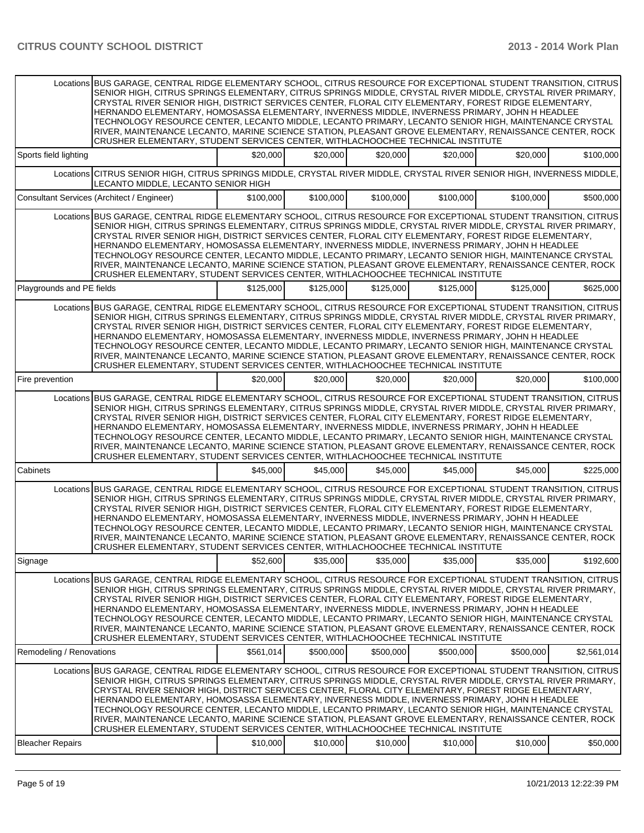|                           | Locations BUS GARAGE, CENTRAL RIDGE ELEMENTARY SCHOOL, CITRUS RESOURCE FOR EXCEPTIONAL STUDENT TRANSITION, CITRUS<br>SENIOR HIGH, CITRUS SPRINGS ELEMENTARY, CITRUS SPRINGS MIDDLE, CRYSTAL RIVER MIDDLE, CRYSTAL RIVER PRIMARY,<br>CRYSTAL RIVER SENIOR HIGH, DISTRICT SERVICES CENTER, FLORAL CITY ELEMENTARY, FOREST RIDGE ELEMENTARY,<br>HERNANDO ELEMENTARY, HOMOSASSA ELEMENTARY, INVERNESS MIDDLE, INVERNESS PRIMARY, JOHN H HEADLEE<br>TECHNOLOGY RESOURCE CENTER, LECANTO MIDDLE, LECANTO PRIMARY, LECANTO SENIOR HIGH, MAINTENANCE CRYSTAL                                                                                                                                                                                               |           |           |           |           |           |             |
|---------------------------|----------------------------------------------------------------------------------------------------------------------------------------------------------------------------------------------------------------------------------------------------------------------------------------------------------------------------------------------------------------------------------------------------------------------------------------------------------------------------------------------------------------------------------------------------------------------------------------------------------------------------------------------------------------------------------------------------------------------------------------------------|-----------|-----------|-----------|-----------|-----------|-------------|
|                           | RIVER, MAINTENANCE LECANTO, MARINE SCIENCE STATION, PLEASANT GROVE ELEMENTARY, RENAISSANCE CENTER, ROCK<br>CRUSHER ELEMENTARY, STUDENT SERVICES CENTER, WITHLACHOOCHEE TECHNICAL INSTITUTE                                                                                                                                                                                                                                                                                                                                                                                                                                                                                                                                                         |           |           |           |           |           |             |
| Sports field lighting     |                                                                                                                                                                                                                                                                                                                                                                                                                                                                                                                                                                                                                                                                                                                                                    | \$20,000  | \$20,000  | \$20,000  | \$20,000  | \$20,000  | \$100,000   |
|                           | Locations CITRUS SENIOR HIGH, CITRUS SPRINGS MIDDLE, CRYSTAL RIVER MIDDLE, CRYSTAL RIVER SENIOR HIGH, INVERNESS MIDDLE,<br>LECANTO MIDDLE, LECANTO SENIOR HIGH                                                                                                                                                                                                                                                                                                                                                                                                                                                                                                                                                                                     |           |           |           |           |           |             |
|                           | Consultant Services (Architect / Engineer)                                                                                                                                                                                                                                                                                                                                                                                                                                                                                                                                                                                                                                                                                                         | \$100,000 | \$100,000 | \$100,000 | \$100,000 | \$100,000 | \$500,000   |
|                           | Locations BUS GARAGE, CENTRAL RIDGE ELEMENTARY SCHOOL, CITRUS RESOURCE FOR EXCEPTIONAL STUDENT TRANSITION, CITRUS<br>SENIOR HIGH, CITRUS SPRINGS ELEMENTARY, CITRUS SPRINGS MIDDLE, CRYSTAL RIVER MIDDLE, CRYSTAL RIVER PRIMARY,<br>CRYSTAL RIVER SENIOR HIGH, DISTRICT SERVICES CENTER, FLORAL CITY ELEMENTARY, FOREST RIDGE ELEMENTARY,<br>HERNANDO ELEMENTARY, HOMOSASSA ELEMENTARY, INVERNESS MIDDLE, INVERNESS PRIMARY, JOHN H HEADLEE<br>TECHNOLOGY RESOURCE CENTER, LECANTO MIDDLE, LECANTO PRIMARY, LECANTO SENIOR HIGH, MAINTENANCE CRYSTAL<br>RIVER, MAINTENANCE LECANTO, MARINE SCIENCE STATION, PLEASANT GROVE ELEMENTARY, RENAISSANCE CENTER, ROCK<br>CRUSHER ELEMENTARY, STUDENT SERVICES CENTER, WITHLACHOOCHEE TECHNICAL INSTITUTE |           |           |           |           |           |             |
| Playgrounds and PE fields |                                                                                                                                                                                                                                                                                                                                                                                                                                                                                                                                                                                                                                                                                                                                                    | \$125,000 | \$125,000 | \$125,000 | \$125,000 | \$125,000 | \$625.000   |
|                           | Locations BUS GARAGE, CENTRAL RIDGE ELEMENTARY SCHOOL, CITRUS RESOURCE FOR EXCEPTIONAL STUDENT TRANSITION, CITRUS<br>SENIOR HIGH, CITRUS SPRINGS ELEMENTARY, CITRUS SPRINGS MIDDLE, CRYSTAL RIVER MIDDLE, CRYSTAL RIVER PRIMARY,<br>CRYSTAL RIVER SENIOR HIGH, DISTRICT SERVICES CENTER, FLORAL CITY ELEMENTARY, FOREST RIDGE ELEMENTARY,<br>HERNANDO ELEMENTARY, HOMOSASSA ELEMENTARY, INVERNESS MIDDLE, INVERNESS PRIMARY, JOHN H HEADLEE<br>TECHNOLOGY RESOURCE CENTER. LECANTO MIDDLE, LECANTO PRIMARY, LECANTO SENIOR HIGH, MAINTENANCE CRYSTAL<br>RIVER, MAINTENANCE LECANTO, MARINE SCIENCE STATION, PLEASANT GROVE ELEMENTARY, RENAISSANCE CENTER, ROCK<br>CRUSHER ELEMENTARY, STUDENT SERVICES CENTER, WITHLACHOOCHEE TECHNICAL INSTITUTE |           |           |           |           |           |             |
| Fire prevention           |                                                                                                                                                                                                                                                                                                                                                                                                                                                                                                                                                                                                                                                                                                                                                    | \$20,000  | \$20,000  | \$20,000  | \$20,000  | \$20,000  | \$100,000   |
|                           | Locations BUS GARAGE, CENTRAL RIDGE ELEMENTARY SCHOOL, CITRUS RESOURCE FOR EXCEPTIONAL STUDENT TRANSITION, CITRUS<br>SENIOR HIGH, CITRUS SPRINGS ELEMENTARY, CITRUS SPRINGS MIDDLE, CRYSTAL RIVER MIDDLE, CRYSTAL RIVER PRIMARY,<br>CRYSTAL RIVER SENIOR HIGH, DISTRICT SERVICES CENTER, FLORAL CITY ELEMENTARY, FOREST RIDGE ELEMENTARY,<br>HERNANDO ELEMENTARY, HOMOSASSA ELEMENTARY, INVERNESS MIDDLE, INVERNESS PRIMARY, JOHN H HEADLEE<br>TECHNOLOGY RESOURCE CENTER, LECANTO MIDDLE, LECANTO PRIMARY, LECANTO SENIOR HIGH, MAINTENANCE CRYSTAL<br>RIVER, MAINTENANCE LECANTO, MARINE SCIENCE STATION, PLEASANT GROVE ELEMENTARY, RENAISSANCE CENTER, ROCK<br>CRUSHER ELEMENTARY, STUDENT SERVICES CENTER, WITHLACHOOCHEE TECHNICAL INSTITUTE |           |           |           |           |           |             |
| Cabinets                  |                                                                                                                                                                                                                                                                                                                                                                                                                                                                                                                                                                                                                                                                                                                                                    | \$45,000  | \$45,000  | \$45,000  | \$45,000  | \$45,000  | \$225,000   |
|                           | Locations BUS GARAGE, CENTRAL RIDGE ELEMENTARY SCHOOL, CITRUS RESOURCE FOR EXCEPTIONAL STUDENT TRANSITION, CITRUS<br>SENIOR HIGH, CITRUS SPRINGS ELEMENTARY, CITRUS SPRINGS MIDDLE, CRYSTAL RIVER MIDDLE, CRYSTAL RIVER PRIMARY,<br>CRYSTAL RIVER SENIOR HIGH, DISTRICT SERVICES CENTER, FLORAL CITY ELEMENTARY, FOREST RIDGE ELEMENTARY,<br>HERNANDO ELEMENTARY, HOMOSASSA ELEMENTARY, INVERNESS MIDDLE, INVERNESS PRIMARY, JOHN H HEADLEE<br>TECHNOLOGY RESOURCE CENTER, LECANTO MIDDLE, LECANTO PRIMARY, LECANTO SENIOR HIGH, MAINTENANCE CRYSTAL<br>RIVER, MAINTENANCE LECANTO, MARINE SCIENCE STATION, PLEASANT GROVE ELEMENTARY, RENAISSANCE CENTER, ROCK<br>CRUSHER ELEMENTARY, STUDENT SERVICES CENTER, WITHLACHOOCHEE TECHNICAL INSTITUTE |           |           |           |           |           |             |
| Signage                   |                                                                                                                                                                                                                                                                                                                                                                                                                                                                                                                                                                                                                                                                                                                                                    | \$52,600  | \$35,000  | \$35,000  | \$35,000  | \$35,000  | \$192,600   |
|                           | Locations BUS GARAGE, CENTRAL RIDGE ELEMENTARY SCHOOL, CITRUS RESOURCE FOR EXCEPTIONAL STUDENT TRANSITION, CITRUS<br>SENIOR HIGH, CITRUS SPRINGS ELEMENTARY, CITRUS SPRINGS MIDDLE, CRYSTAL RIVER MIDDLE, CRYSTAL RIVER PRIMARY,<br>CRYSTAL RIVER SENIOR HIGH, DISTRICT SERVICES CENTER, FLORAL CITY ELEMENTARY, FOREST RIDGE ELEMENTARY,<br>HERNANDO ELEMENTARY, HOMOSASSA ELEMENTARY, INVERNESS MIDDLE, INVERNESS PRIMARY, JOHN H HEADLEE<br>TECHNOLOGY RESOURCE CENTER, LECANTO MIDDLE, LECANTO PRIMARY, LECANTO SENIOR HIGH, MAINTENANCE CRYSTAL<br>RIVER, MAINTENANCE LECANTO, MARINE SCIENCE STATION, PLEASANT GROVE ELEMENTARY, RENAISSANCE CENTER, ROCK<br>CRUSHER ELEMENTARY, STUDENT SERVICES CENTER, WITHLACHOOCHEE TECHNICAL INSTITUTE |           |           |           |           |           |             |
| Remodeling / Renovations  |                                                                                                                                                                                                                                                                                                                                                                                                                                                                                                                                                                                                                                                                                                                                                    | \$561.014 | \$500,000 | \$500,000 | \$500,000 | \$500.000 | \$2,561,014 |
|                           | Locations BUS GARAGE, CENTRAL RIDGE ELEMENTARY SCHOOL, CITRUS RESOURCE FOR EXCEPTIONAL STUDENT TRANSITION, CITRUS<br>SENIOR HIGH, CITRUS SPRINGS ELEMENTARY, CITRUS SPRINGS MIDDLE, CRYSTAL RIVER MIDDLE, CRYSTAL RIVER PRIMARY,<br>CRYSTAL RIVER SENIOR HIGH, DISTRICT SERVICES CENTER, FLORAL CITY ELEMENTARY, FOREST RIDGE ELEMENTARY,<br>HERNANDO ELEMENTARY, HOMOSASSA ELEMENTARY, INVERNESS MIDDLE, INVERNESS PRIMARY, JOHN H HEADLEE<br>TECHNOLOGY RESOURCE CENTER, LECANTO MIDDLE, LECANTO PRIMARY, LECANTO SENIOR HIGH, MAINTENANCE CRYSTAL<br>RIVER, MAINTENANCE LECANTO, MARINE SCIENCE STATION, PLEASANT GROVE ELEMENTARY, RENAISSANCE CENTER, ROCK<br>CRUSHER ELEMENTARY, STUDENT SERVICES CENTER, WITHLACHOOCHEE TECHNICAL INSTITUTE |           |           |           |           |           |             |
| <b>Bleacher Repairs</b>   |                                                                                                                                                                                                                                                                                                                                                                                                                                                                                                                                                                                                                                                                                                                                                    | \$10,000  | \$10,000  | \$10,000  | \$10,000  | \$10,000  | \$50,000    |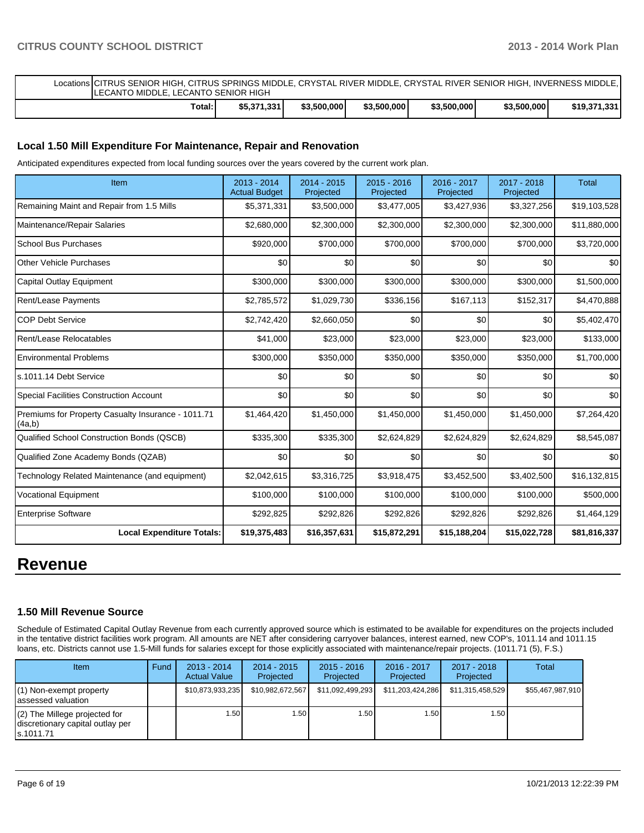| Locations ICITRUS SENIOR HIGH. CITRUS SPRINGS MIDDLE. CRYSTAL RIVER MIDDLE. CRYSTAL RIVER SENIOR HIGH. INVERNESS MIDDLE. I<br>LECANTO MIDDLE, LECANTO SENIOR HIGH |             |             |             |             |             |              |
|-------------------------------------------------------------------------------------------------------------------------------------------------------------------|-------------|-------------|-------------|-------------|-------------|--------------|
| Total:                                                                                                                                                            | \$5.371.331 | \$3,500,000 | \$3.500.000 | \$3.500.000 | \$3,500,000 | \$19,371,331 |

### **Local 1.50 Mill Expenditure For Maintenance, Repair and Renovation**

Anticipated expenditures expected from local funding sources over the years covered by the current work plan.

| Item                                                         | $2013 - 2014$<br><b>Actual Budget</b> | $2014 - 2015$<br>Projected | $2015 - 2016$<br>Projected | 2016 - 2017<br>Projected | 2017 - 2018<br>Projected | <b>Total</b> |
|--------------------------------------------------------------|---------------------------------------|----------------------------|----------------------------|--------------------------|--------------------------|--------------|
| Remaining Maint and Repair from 1.5 Mills                    | \$5,371,331                           | \$3,500,000                | \$3,477,005                | \$3,427,936              | \$3,327,256              | \$19,103,528 |
| Maintenance/Repair Salaries                                  | \$2,680,000                           | \$2,300,000                | \$2,300,000                | \$2,300,000              | \$2,300,000              | \$11,880,000 |
| <b>School Bus Purchases</b>                                  | \$920,000                             | \$700,000                  | \$700,000                  | \$700,000                | \$700,000                | \$3,720,000  |
| Other Vehicle Purchases                                      | \$0                                   | \$0                        | \$0                        | \$0                      | \$0                      | \$0          |
| Capital Outlay Equipment                                     | \$300,000                             | \$300,000                  | \$300,000                  | \$300,000                | \$300,000                | \$1,500,000  |
| <b>Rent/Lease Payments</b>                                   | \$2,785,572                           | \$1,029,730                | \$336,156                  | \$167,113                | \$152,317                | \$4,470,888  |
| <b>COP Debt Service</b>                                      | \$2,742,420                           | \$2,660,050                | \$0                        | \$0                      | \$0                      | \$5,402,470  |
| Rent/Lease Relocatables                                      | \$41,000                              | \$23,000                   | \$23,000                   | \$23,000                 | \$23,000                 | \$133,000    |
| <b>Environmental Problems</b>                                | \$300,000                             | \$350,000                  | \$350,000                  | \$350,000                | \$350,000                | \$1,700,000  |
| s.1011.14 Debt Service                                       | \$0                                   | \$0                        | \$0                        | \$0                      | \$0                      | \$0          |
| <b>Special Facilities Construction Account</b>               | \$0                                   | \$0                        | \$0                        | \$0                      | \$0                      | \$0          |
| Premiums for Property Casualty Insurance - 1011.71<br>(4a,b) | \$1,464,420                           | \$1,450,000                | \$1,450,000                | \$1,450,000              | \$1,450,000              | \$7,264,420  |
| Qualified School Construction Bonds (QSCB)                   | \$335,300                             | \$335,300                  | \$2,624,829                | \$2,624,829              | \$2,624,829              | \$8,545,087  |
| Qualified Zone Academy Bonds (QZAB)                          | \$0                                   | \$0                        | \$0                        | \$0                      | \$0                      | \$0          |
| Technology Related Maintenance (and equipment)               | \$2,042,615                           | \$3,316,725                | \$3,918,475                | \$3,452,500              | \$3,402,500              | \$16,132,815 |
| <b>Vocational Equipment</b>                                  | \$100,000                             | \$100,000                  | \$100,000                  | \$100,000                | \$100,000                | \$500,000    |
| <b>Enterprise Software</b>                                   | \$292,825                             | \$292,826                  | \$292,826                  | \$292,826                | \$292,826                | \$1,464,129  |
| <b>Local Expenditure Totals:</b>                             | \$19,375,483                          | \$16,357,631               | \$15,872,291               | \$15,188,204             | \$15,022,728             | \$81,816,337 |

# **Revenue**

### **1.50 Mill Revenue Source**

Schedule of Estimated Capital Outlay Revenue from each currently approved source which is estimated to be available for expenditures on the projects included in the tentative district facilities work program. All amounts are NET after considering carryover balances, interest earned, new COP's, 1011.14 and 1011.15 loans, etc. Districts cannot use 1.5-Mill funds for salaries except for those explicitly associated with maintenance/repair projects. (1011.71 (5), F.S.)

| <b>Item</b>                                                                       | Fund | $2013 - 2014$<br><b>Actual Value</b> | 2014 - 2015<br>Projected | $2015 - 2016$<br>Projected | 2016 - 2017<br>Projected | 2017 - 2018<br>Projected | Total            |
|-----------------------------------------------------------------------------------|------|--------------------------------------|--------------------------|----------------------------|--------------------------|--------------------------|------------------|
| $(1)$ Non-exempt property<br>lassessed valuation                                  |      | \$10,873,933,235                     | \$10,982,672,567         | \$11,092,499,293           | \$11,203,424,286         | \$11,315,458,529         | \$55,467,987,910 |
| $(2)$ The Millege projected for<br>discretionary capital outlay per<br>ls.1011.71 |      | 1.50                                 | 1.50 l                   | 1.50                       | 1.50                     | 1.50 l                   |                  |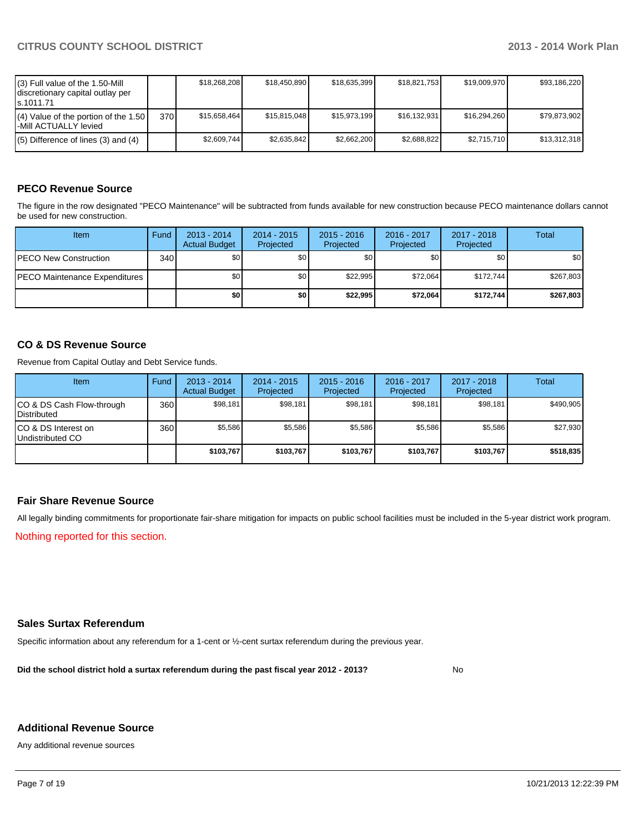| $(3)$ Full value of the 1.50-Mill<br>discretionary capital outlay per<br>ls.1011.71 |      | \$18.268.208 | \$18,450,890 | \$18.635.399 | \$18.821.753 | \$19,009,970 | \$93.186.220 |
|-------------------------------------------------------------------------------------|------|--------------|--------------|--------------|--------------|--------------|--------------|
| $(4)$ Value of the portion of the 1.50<br>I-Mill ACTUALLY levied                    | 370I | \$15,658,464 | \$15,815,048 | \$15,973,199 | \$16,132,931 | \$16,294,260 | \$79,873,902 |
| $(5)$ Difference of lines (3) and (4)                                               |      | \$2,609,744  | \$2.635.842  | \$2.662.200  | \$2,688,822  | \$2.715.710  | \$13,312,318 |

## **PECO Revenue Source**

The figure in the row designated "PECO Maintenance" will be subtracted from funds available for new construction because PECO maintenance dollars cannot be used for new construction.

| Item                                  | Fund | $2013 - 2014$<br><b>Actual Budget</b> | $2014 - 2015$<br>Projected | $2015 - 2016$<br>Projected | 2016 - 2017<br>Projected | 2017 - 2018<br>Projected | Total     |
|---------------------------------------|------|---------------------------------------|----------------------------|----------------------------|--------------------------|--------------------------|-----------|
| IPECO New Construction                | 340  | \$0                                   | \$0                        | \$0 <sub>1</sub>           | \$0 <sub>0</sub>         | \$0                      | \$0       |
| <b>IPECO Maintenance Expenditures</b> |      | \$0 <sub>1</sub>                      | \$0 <sub>1</sub>           | \$22.995                   | \$72.064                 | \$172.744                | \$267,803 |
|                                       |      | \$0                                   | \$0                        | \$22,995                   | \$72.064                 | \$172.744                | \$267,803 |

### **CO & DS Revenue Source**

Revenue from Capital Outlay and Debt Service funds.

| <b>Item</b>                                        | Fund | $2013 - 2014$<br><b>Actual Budget</b> | $2014 - 2015$<br>Projected | $2015 - 2016$<br>Projected | $2016 - 2017$<br>Projected | $2017 - 2018$<br>Projected | Total     |
|----------------------------------------------------|------|---------------------------------------|----------------------------|----------------------------|----------------------------|----------------------------|-----------|
| ICO & DS Cash Flow-through<br><b>I</b> Distributed | 360  | \$98,181                              | \$98,181                   | \$98,181                   | \$98.181                   | \$98,181                   | \$490,905 |
| ICO & DS Interest on<br>Undistributed CO           | 360  | \$5.586                               | \$5,586                    | \$5,586                    | \$5.586                    | \$5,586                    | \$27,930  |
|                                                    |      | \$103,767                             | \$103,767                  | \$103.767                  | \$103.767                  | \$103,767                  | \$518,835 |

### **Fair Share Revenue Source**

All legally binding commitments for proportionate fair-share mitigation for impacts on public school facilities must be included in the 5-year district work program.

Nothing reported for this section.

### **Sales Surtax Referendum**

Specific information about any referendum for a 1-cent or ½-cent surtax referendum during the previous year.

**Did the school district hold a surtax referendum during the past fiscal year 2012 - 2013?**

No

### **Additional Revenue Source**

Any additional revenue sources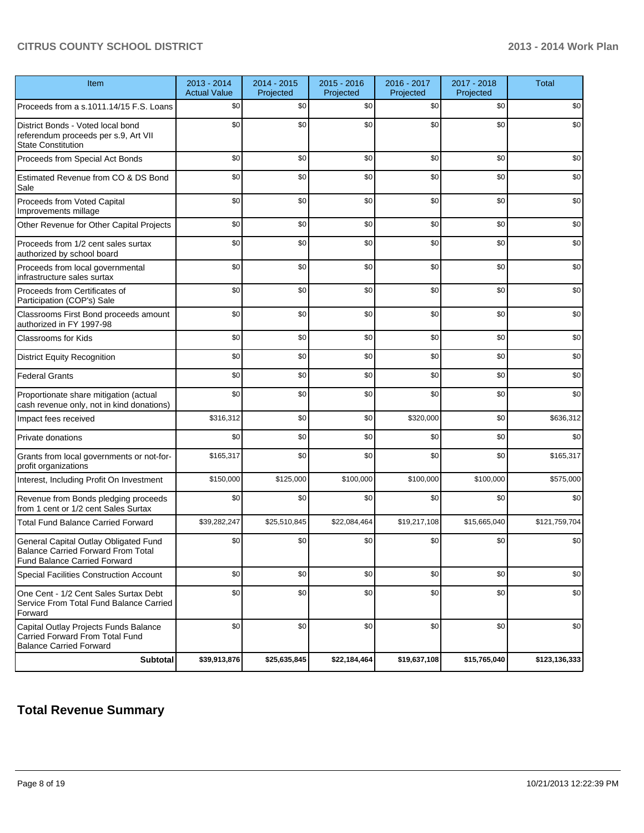| Item                                                                                                                      | 2013 - 2014<br><b>Actual Value</b> | 2014 - 2015<br>Projected | $2015 - 2016$<br>Projected | 2016 - 2017<br>Projected | 2017 - 2018<br>Projected | <b>Total</b>  |
|---------------------------------------------------------------------------------------------------------------------------|------------------------------------|--------------------------|----------------------------|--------------------------|--------------------------|---------------|
| Proceeds from a s.1011.14/15 F.S. Loans                                                                                   | \$0                                | \$0                      | \$0                        | \$0                      | \$0                      | \$0           |
| District Bonds - Voted local bond<br>referendum proceeds per s.9, Art VII<br><b>State Constitution</b>                    | \$0                                | \$0                      | \$0                        | \$0                      | \$0                      | \$0           |
| Proceeds from Special Act Bonds                                                                                           | \$0                                | \$0                      | \$0                        | \$0                      | \$0                      | \$0           |
| Estimated Revenue from CO & DS Bond<br>Sale                                                                               | \$0                                | \$0                      | \$0                        | \$0                      | \$0                      | \$0           |
| Proceeds from Voted Capital<br>Improvements millage                                                                       | \$0                                | \$0                      | \$0                        | \$0                      | \$0                      | \$0           |
| Other Revenue for Other Capital Projects                                                                                  | \$0                                | \$0                      | \$0                        | \$0                      | \$0                      | \$0           |
| Proceeds from 1/2 cent sales surtax<br>authorized by school board                                                         | \$0                                | \$0                      | \$0                        | \$0                      | \$0                      | \$0           |
| Proceeds from local governmental<br>infrastructure sales surtax                                                           | \$0                                | \$0                      | \$0                        | \$0                      | \$0                      | \$0           |
| Proceeds from Certificates of<br>Participation (COP's) Sale                                                               | \$0                                | \$0                      | \$0                        | \$0                      | \$0                      | \$0           |
| Classrooms First Bond proceeds amount<br>authorized in FY 1997-98                                                         | \$0                                | \$0                      | \$0                        | \$0                      | \$0                      | \$0           |
| <b>Classrooms for Kids</b>                                                                                                | \$0                                | \$0                      | \$0                        | \$0                      | \$0                      | \$0           |
| <b>District Equity Recognition</b>                                                                                        | \$0                                | \$0                      | \$0                        | \$0                      | \$0                      | \$0           |
| <b>Federal Grants</b>                                                                                                     | \$0                                | \$0                      | \$0                        | \$0                      | \$0                      | \$0           |
| Proportionate share mitigation (actual<br>cash revenue only, not in kind donations)                                       | \$0                                | \$0                      | \$0                        | \$0                      | \$0                      | \$0           |
| Impact fees received                                                                                                      | \$316,312                          | \$0                      | \$0                        | \$320,000                | \$0                      | \$636,312     |
| Private donations                                                                                                         | \$0                                | \$0                      | \$0                        | \$0                      | \$0                      | \$0           |
| Grants from local governments or not-for-<br>profit organizations                                                         | \$165,317                          | \$0                      | \$0                        | \$0                      | \$0                      | \$165,317     |
| Interest, Including Profit On Investment                                                                                  | \$150,000                          | \$125,000                | \$100,000                  | \$100,000                | \$100,000                | \$575,000     |
| Revenue from Bonds pledging proceeds<br>from 1 cent or 1/2 cent Sales Surtax                                              | \$0                                | \$0                      | \$0                        | \$0                      | \$0                      | \$0           |
| <b>Total Fund Balance Carried Forward</b>                                                                                 | \$39,282,247                       | \$25,510,845             | \$22,084,464               | \$19,217,108             | \$15,665,040             | \$121,759,704 |
| General Capital Outlay Obligated Fund<br><b>Balance Carried Forward From Total</b><br><b>Fund Balance Carried Forward</b> | \$0                                | \$0                      | \$0                        | \$0                      | \$0                      | \$0           |
| Special Facilities Construction Account                                                                                   | \$0                                | \$0                      | \$0                        | \$0                      | \$0                      | \$0           |
| One Cent - 1/2 Cent Sales Surtax Debt<br>Service From Total Fund Balance Carried<br>Forward                               | \$0                                | \$0                      | \$0                        | \$0                      | \$0                      | \$0           |
| Capital Outlay Projects Funds Balance<br>Carried Forward From Total Fund<br><b>Balance Carried Forward</b>                | \$0                                | \$0                      | \$0                        | \$0                      | \$0                      | \$0           |
| <b>Subtotal</b>                                                                                                           | \$39,913,876                       | \$25,635,845             | \$22,184,464               | \$19,637,108             | \$15,765,040             | \$123,136,333 |

# **Total Revenue Summary**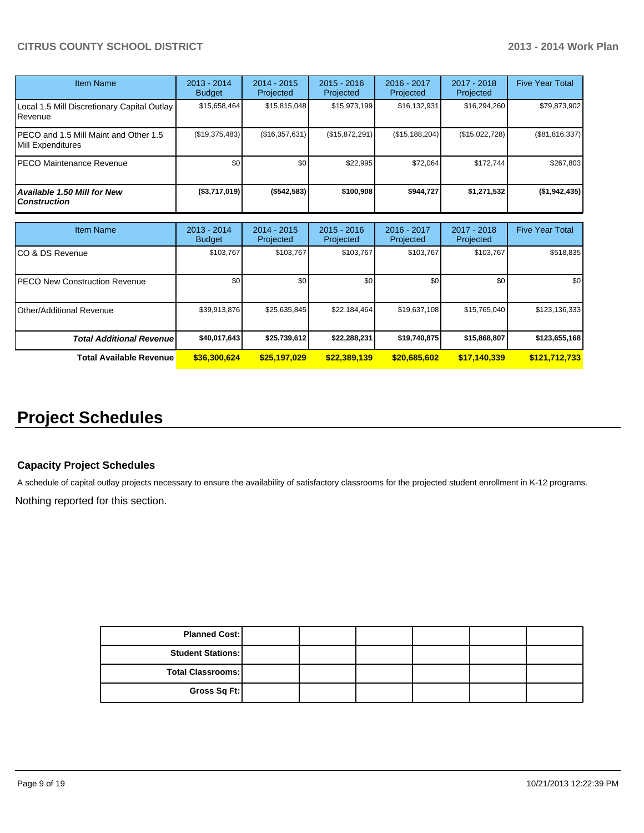| Item Name                                                  | $2013 - 2014$<br><b>Budget</b> | $2014 - 2015$<br>Projected | $2015 - 2016$<br>Projected | $2016 - 2017$<br>Projected | $2017 - 2018$<br>Projected | <b>Five Year Total</b> |
|------------------------------------------------------------|--------------------------------|----------------------------|----------------------------|----------------------------|----------------------------|------------------------|
| Local 1.5 Mill Discretionary Capital Outlay<br>Revenue     | \$15,658,464                   | \$15,815,048               | \$15,973,199               | \$16,132,931               | \$16,294,260               | \$79,873,902           |
| PECO and 1.5 Mill Maint and Other 1.5<br>Mill Expenditures | (\$19,375,483)                 | (\$16,357,631)             | (\$15,872,291)             | (\$15, 188, 204)           | (\$15,022,728)             | (\$81,816,337)         |
| PECO Maintenance Revenue                                   | \$0 <sub>1</sub>               | \$0 <sub>1</sub>           | \$22.995                   | \$72.064                   | \$172.744                  | \$267,803              |
| Available 1.50 Mill for New<br><b>Construction</b>         | (\$3,717,019)                  | (\$542,583)                | \$100.908                  | \$944.727                  | \$1,271,532                | (\$1,942,435)          |

| <b>Item Name</b>                      | 2013 - 2014<br><b>Budget</b> | $2014 - 2015$<br>Projected | $2015 - 2016$<br>Projected | 2016 - 2017<br>Projected | $2017 - 2018$<br>Projected | <b>Five Year Total</b> |
|---------------------------------------|------------------------------|----------------------------|----------------------------|--------------------------|----------------------------|------------------------|
| ICO & DS Revenue                      | \$103,767                    | \$103,767                  | \$103.767                  | \$103,767                | \$103,767                  | \$518,835              |
| <b>IPECO New Construction Revenue</b> | \$0                          | \$0                        | \$0                        | \$0                      | \$0                        | \$0 <sub>1</sub>       |
| IOther/Additional Revenue             | \$39,913,876                 | \$25,635,845               | \$22,184,464               | \$19,637,108             | \$15,765,040               | \$123,136,333          |
| <b>Total Additional Revenuel</b>      | \$40,017,643                 | \$25,739,612               | \$22,288,231               | \$19,740,875             | \$15,868,807               | \$123,655,168          |
| <b>Total Available Revenue</b>        | \$36,300,624                 | \$25,197,029               | \$22,389,139               | \$20,685,602             | \$17,140,339               | \$121,712,733          |

# **Project Schedules**

### **Capacity Project Schedules**

A schedule of capital outlay projects necessary to ensure the availability of satisfactory classrooms for the projected student enrollment in K-12 programs.

Nothing reported for this section.

| <b>Planned Cost:</b>     |  |  |  |
|--------------------------|--|--|--|
| <b>Student Stations:</b> |  |  |  |
| <b>Total Classrooms:</b> |  |  |  |
| Gross Sq Ft:             |  |  |  |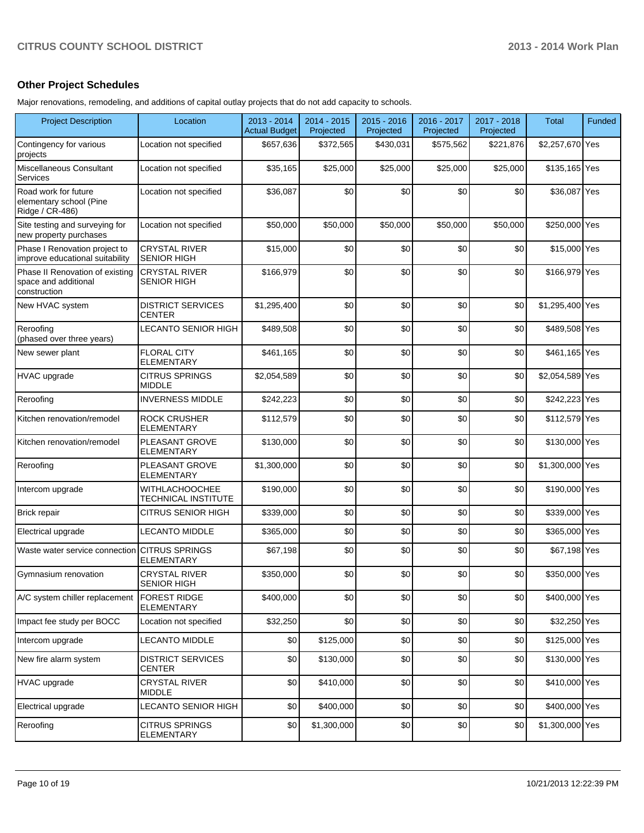### **Other Project Schedules**

Major renovations, remodeling, and additions of capital outlay projects that do not add capacity to schools.

| <b>Project Description</b>                                              | Location                                     | 2013 - 2014<br><b>Actual Budget</b> | 2014 - 2015<br>Projected | 2015 - 2016<br>Projected | 2016 - 2017<br>Projected | 2017 - 2018<br>Projected | <b>Total</b>    | Funded |
|-------------------------------------------------------------------------|----------------------------------------------|-------------------------------------|--------------------------|--------------------------|--------------------------|--------------------------|-----------------|--------|
| Contingency for various<br>projects                                     | Location not specified                       | \$657,636                           | \$372,565                | \$430,031                | \$575,562                | \$221,876                | \$2,257,670 Yes |        |
| Miscellaneous Consultant<br>Services                                    | Location not specified                       | \$35,165                            | \$25,000                 | \$25,000                 | \$25,000                 | \$25,000                 | \$135,165 Yes   |        |
| Road work for future<br>elementary school (Pine<br>Ridge / CR-486)      | Location not specified                       | \$36,087                            | \$0                      | \$0                      | \$0                      | \$0                      | \$36,087 Yes    |        |
| Site testing and surveying for<br>new property purchases                | Location not specified                       | \$50,000                            | \$50,000                 | \$50,000                 | \$50,000                 | \$50,000                 | \$250,000 Yes   |        |
| Phase I Renovation project to<br>improve educational suitability        | <b>CRYSTAL RIVER</b><br><b>SENIOR HIGH</b>   | \$15,000                            | \$0                      | \$0                      | \$0                      | \$0                      | \$15,000 Yes    |        |
| Phase II Renovation of existing<br>space and additional<br>construction | <b>CRYSTAL RIVER</b><br><b>SENIOR HIGH</b>   | \$166,979                           | \$0                      | \$0                      | \$0                      | \$0                      | \$166,979 Yes   |        |
| New HVAC system                                                         | <b>DISTRICT SERVICES</b><br><b>CENTER</b>    | \$1,295,400                         | \$0                      | \$0                      | \$0                      | \$0                      | \$1,295,400 Yes |        |
| Reroofing<br>(phased over three years)                                  | LECANTO SENIOR HIGH                          | \$489,508                           | \$0                      | \$0                      | \$0                      | \$0                      | \$489,508 Yes   |        |
| New sewer plant                                                         | <b>FLORAL CITY</b><br><b>ELEMENTARY</b>      | \$461,165                           | \$0                      | \$0                      | \$0                      | \$0                      | \$461,165 Yes   |        |
| HVAC upgrade                                                            | <b>CITRUS SPRINGS</b><br><b>MIDDLE</b>       | \$2,054,589                         | \$0                      | \$0                      | \$0                      | \$0                      | \$2,054,589 Yes |        |
| Reroofing                                                               | <b>INVERNESS MIDDLE</b>                      | \$242,223                           | \$0                      | \$0                      | \$0                      | \$0                      | \$242,223 Yes   |        |
| Kitchen renovation/remodel                                              | <b>ROCK CRUSHER</b><br><b>ELEMENTARY</b>     | \$112,579                           | \$0                      | \$0                      | \$0                      | \$0                      | \$112,579 Yes   |        |
| Kitchen renovation/remodel                                              | PLEASANT GROVE<br><b>ELEMENTARY</b>          | \$130,000                           | \$0                      | \$0                      | \$0                      | \$0                      | \$130,000 Yes   |        |
| Reroofing                                                               | PLEASANT GROVE<br><b>ELEMENTARY</b>          | \$1,300,000                         | \$0                      | \$0                      | \$0                      | \$0                      | \$1,300,000 Yes |        |
| Intercom upgrade                                                        | <b>WITHLACHOOCHEE</b><br>TECHNICAL INSTITUTE | \$190,000                           | \$0                      | \$0                      | \$0                      | \$0                      | \$190,000 Yes   |        |
| <b>Brick repair</b>                                                     | <b>CITRUS SENIOR HIGH</b>                    | \$339,000                           | \$0                      | \$0                      | \$0                      | \$0                      | \$339,000 Yes   |        |
| Electrical upgrade                                                      | <b>LECANTO MIDDLE</b>                        | \$365,000                           | \$0                      | \$0                      | \$0                      | \$0                      | \$365,000 Yes   |        |
| Waste water service connection                                          | <b>CITRUS SPRINGS</b><br>ELEMENTARY          | \$67,198                            | \$0                      | \$0                      | \$0                      | \$0                      | \$67,198 Yes    |        |
| Gymnasium renovation                                                    | <b>CRYSTAL RIVER</b><br><b>SENIOR HIGH</b>   | \$350,000                           | \$0                      | \$0                      | \$0                      | \$0                      | \$350,000 Yes   |        |
| A/C system chiller replacement                                          | <b>FOREST RIDGE</b><br><b>ELEMENTARY</b>     | \$400,000                           | \$0                      | \$0                      | \$0                      | \$0                      | \$400,000 Yes   |        |
| Impact fee study per BOCC                                               | Location not specified                       | \$32,250                            | \$0                      | \$0                      | \$0                      | \$0                      | \$32,250 Yes    |        |
| Intercom upgrade                                                        | <b>LECANTO MIDDLE</b>                        | \$0                                 | \$125,000                | \$0                      | \$0                      | \$0                      | \$125,000 Yes   |        |
| New fire alarm system                                                   | <b>DISTRICT SERVICES</b><br>CENTER           | \$0                                 | \$130,000                | \$0                      | \$0                      | \$0                      | \$130,000 Yes   |        |
| <b>HVAC</b> upgrade                                                     | <b>CRYSTAL RIVER</b><br>MIDDLE               | \$0                                 | \$410,000                | \$0                      | \$0                      | \$0                      | \$410,000 Yes   |        |
| Electrical upgrade                                                      | LECANTO SENIOR HIGH                          | \$0                                 | \$400,000                | \$0                      | \$0                      | \$0                      | \$400,000 Yes   |        |
| Reroofing                                                               | <b>CITRUS SPRINGS</b><br><b>ELEMENTARY</b>   | \$0                                 | \$1,300,000              | \$0                      | \$0                      | \$0                      | \$1,300,000 Yes |        |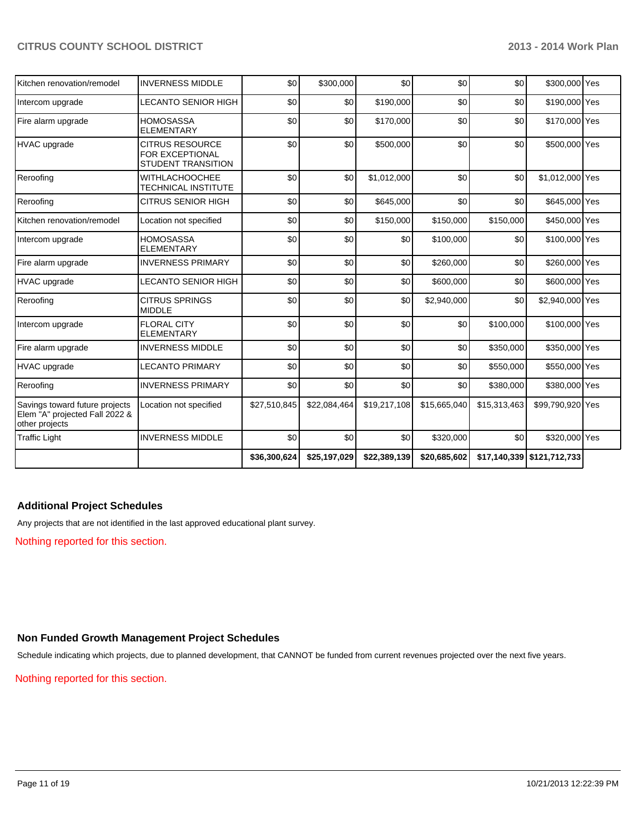| Kitchen renovation/remodel                                                         | <b>INVERNESS MIDDLE</b>                                                | \$0          | \$300,000    | \$0          | \$0          | \$0          | \$300,000 Yes              |  |
|------------------------------------------------------------------------------------|------------------------------------------------------------------------|--------------|--------------|--------------|--------------|--------------|----------------------------|--|
| Intercom upgrade                                                                   | <b>LECANTO SENIOR HIGH</b>                                             | \$0          | \$0          | \$190,000    | \$0          | \$0          | \$190,000 Yes              |  |
| Fire alarm upgrade                                                                 | <b>HOMOSASSA</b><br><b>ELEMENTARY</b>                                  | \$0          | \$0          | \$170,000    | \$0          | \$0          | \$170,000 Yes              |  |
| HVAC upgrade                                                                       | <b>CITRUS RESOURCE</b><br>FOR EXCEPTIONAL<br><b>STUDENT TRANSITION</b> | \$0          | \$0          | \$500,000    | \$0          | \$0          | \$500,000 Yes              |  |
| Reroofing                                                                          | <b>WITHLACHOOCHEE</b><br><b>TECHNICAL INSTITUTE</b>                    | \$0          | \$0          | \$1,012,000  | \$0          | \$0          | \$1,012,000 Yes            |  |
| Reroofing                                                                          | <b>CITRUS SENIOR HIGH</b>                                              | \$0          | \$0          | \$645,000    | \$0          | \$0          | \$645,000 Yes              |  |
| Kitchen renovation/remodel                                                         | Location not specified                                                 | \$0          | \$0          | \$150,000    | \$150,000    | \$150,000    | \$450,000 Yes              |  |
| Intercom upgrade                                                                   | <b>HOMOSASSA</b><br><b>ELEMENTARY</b>                                  | \$0          | \$0          | \$0          | \$100,000    | \$0          | \$100,000 Yes              |  |
| Fire alarm upgrade                                                                 | <b>INVERNESS PRIMARY</b>                                               | \$0          | \$0          | \$0          | \$260,000    | \$0          | \$260,000 Yes              |  |
| <b>HVAC</b> upgrade                                                                | <b>LECANTO SENIOR HIGH</b>                                             | \$0          | \$0          | \$0          | \$600,000    | \$0          | \$600,000 Yes              |  |
| Reroofing                                                                          | <b>CITRUS SPRINGS</b><br><b>MIDDLE</b>                                 | \$0          | \$0          | \$0          | \$2,940,000  | \$0          | \$2,940,000 Yes            |  |
| Intercom upgrade                                                                   | <b>FLORAL CITY</b><br><b>ELEMENTARY</b>                                | \$0          | \$0          | \$0          | \$0          | \$100,000    | \$100,000 Yes              |  |
| Fire alarm upgrade                                                                 | <b>INVERNESS MIDDLE</b>                                                | \$0          | \$0          | \$0          | \$0          | \$350,000    | \$350,000 Yes              |  |
| <b>HVAC</b> upgrade                                                                | <b>LECANTO PRIMARY</b>                                                 | \$0          | \$0          | \$0          | \$0          | \$550,000    | \$550,000 Yes              |  |
| Reroofing                                                                          | <b>INVERNESS PRIMARY</b>                                               | \$0          | \$0          | \$0          | \$0          | \$380,000    | \$380,000 Yes              |  |
| Savings toward future projects<br>Elem "A" projected Fall 2022 &<br>other projects | Location not specified                                                 | \$27,510,845 | \$22,084,464 | \$19,217,108 | \$15,665,040 | \$15,313,463 | \$99,790,920 Yes           |  |
| <b>Traffic Light</b>                                                               | <b>INVERNESS MIDDLE</b>                                                | \$0          | \$0          | \$0          | \$320,000    | \$0          | \$320,000 Yes              |  |
|                                                                                    |                                                                        | \$36,300,624 | \$25,197,029 | \$22,389,139 | \$20,685,602 |              | \$17,140,339 \$121,712,733 |  |

### **Additional Project Schedules**

Any projects that are not identified in the last approved educational plant survey.

Nothing reported for this section.

### **Non Funded Growth Management Project Schedules**

Schedule indicating which projects, due to planned development, that CANNOT be funded from current revenues projected over the next five years.

Nothing reported for this section.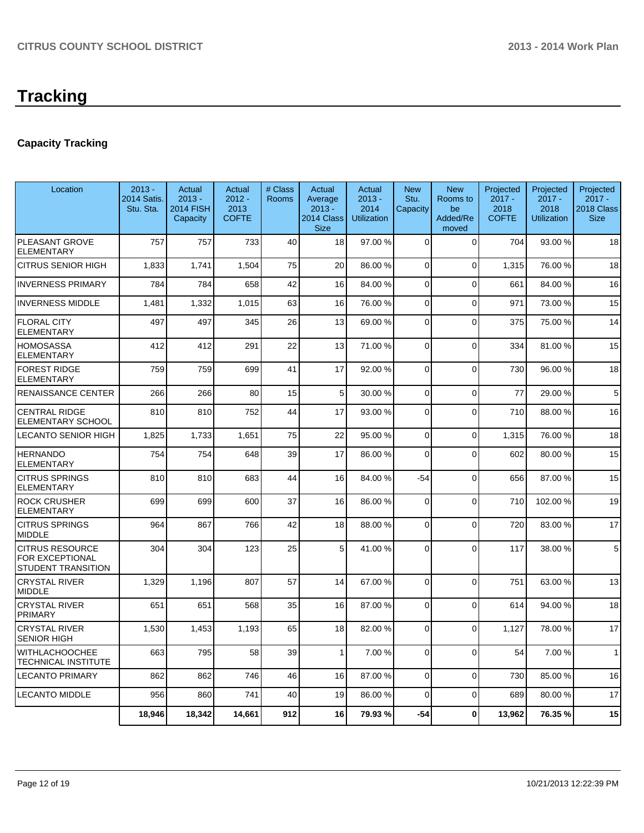# **Tracking**

# **Capacity Tracking**

| Location                                                        | $2013 -$<br>2014 Satis.<br>Stu. Sta. | Actual<br>$2013 -$<br><b>2014 FISH</b><br>Capacity | Actual<br>$2012 -$<br>2013<br><b>COFTE</b> | # Class<br>Rooms | Actual<br>Average<br>$2013 -$<br>2014 Class<br><b>Size</b> | Actual<br>$2013 -$<br>2014<br><b>Utilization</b> | <b>New</b><br>Stu.<br>Capacity | <b>New</b><br>Rooms to<br>be<br>Added/Re<br>moved | Projected<br>$2017 -$<br>2018<br><b>COFTE</b> | Projected<br>$2017 -$<br>2018<br><b>Utilization</b> | Projected<br>$2017 -$<br>2018 Class<br><b>Size</b> |
|-----------------------------------------------------------------|--------------------------------------|----------------------------------------------------|--------------------------------------------|------------------|------------------------------------------------------------|--------------------------------------------------|--------------------------------|---------------------------------------------------|-----------------------------------------------|-----------------------------------------------------|----------------------------------------------------|
| PLEASANT GROVE<br><b>ELEMENTARY</b>                             | 757                                  | 757                                                | 733                                        | 40               | 18                                                         | 97.00 %                                          | $\Omega$                       | $\Omega$                                          | 704                                           | 93.00 %                                             | 18                                                 |
| <b>CITRUS SENIOR HIGH</b>                                       | 1,833                                | 1,741                                              | 1,504                                      | 75               | 20                                                         | 86.00 %                                          | $\Omega$                       | $\Omega$                                          | 1,315                                         | 76.00 %                                             | 18                                                 |
| <b>INVERNESS PRIMARY</b>                                        | 784                                  | 784                                                | 658                                        | 42               | 16                                                         | 84.00 %                                          | $\Omega$                       | $\Omega$                                          | 661                                           | 84.00%                                              | 16                                                 |
| <b>INVERNESS MIDDLE</b>                                         | 1,481                                | 1,332                                              | 1,015                                      | 63               | 16                                                         | 76.00 %                                          | $\Omega$                       | $\overline{0}$                                    | 971                                           | 73.00 %                                             | 15                                                 |
| <b>FLORAL CITY</b><br><b>ELEMENTARY</b>                         | 497                                  | 497                                                | 345                                        | 26               | 13                                                         | 69.00 %                                          | $\Omega$                       | $\overline{0}$                                    | 375                                           | 75.00 %                                             | 14                                                 |
| <b>HOMOSASSA</b><br><b>ELEMENTARY</b>                           | 412                                  | 412                                                | 291                                        | 22               | 13                                                         | 71.00 %                                          | $\Omega$                       | $\Omega$                                          | 334                                           | 81.00%                                              | 15                                                 |
| <b>FOREST RIDGE</b><br><b>ELEMENTARY</b>                        | 759                                  | 759                                                | 699                                        | 41               | 17                                                         | 92.00 %                                          | $\Omega$                       | $\Omega$                                          | 730                                           | 96.00 %                                             | 18                                                 |
| <b>RENAISSANCE CENTER</b>                                       | 266                                  | 266                                                | 80                                         | 15               | 5                                                          | 30.00 %                                          | $\Omega$                       | $\mathbf 0$                                       | 77                                            | 29.00 %                                             | 5                                                  |
| <b>CENTRAL RIDGE</b><br><b>ELEMENTARY SCHOOL</b>                | 810                                  | 810                                                | 752                                        | 44               | 17                                                         | 93.00 %                                          | $\Omega$                       | $\Omega$                                          | 710                                           | 88.00 %                                             | 16                                                 |
| <b>LECANTO SENIOR HIGH</b>                                      | 1,825                                | 1,733                                              | 1,651                                      | 75               | 22                                                         | 95.00 %                                          | $\Omega$                       | $\overline{0}$                                    | 1,315                                         | 76.00%                                              | 18                                                 |
| <b>HERNANDO</b><br><b>ELEMENTARY</b>                            | 754                                  | 754                                                | 648                                        | 39               | 17                                                         | 86.00 %                                          | $\Omega$                       | $\overline{0}$                                    | 602                                           | 80.00%                                              | 15                                                 |
| <b>CITRUS SPRINGS</b><br><b>ELEMENTARY</b>                      | 810                                  | 810                                                | 683                                        | 44               | 16                                                         | 84.00 %                                          | $-54$                          | $\Omega$                                          | 656                                           | 87.00 %                                             | 15                                                 |
| <b>ROCK CRUSHER</b><br><b>ELEMENTARY</b>                        | 699                                  | 699                                                | 600                                        | 37               | 16                                                         | 86.00 %                                          | $\Omega$                       | $\mathbf 0$                                       | 710                                           | 102.00%                                             | 19                                                 |
| <b>CITRUS SPRINGS</b><br><b>MIDDLE</b>                          | 964                                  | 867                                                | 766                                        | 42               | 18                                                         | 88.00 %                                          | 0                              | $\mathbf 0$                                       | 720                                           | 83.00 %                                             | 17                                                 |
| <b>CITRUS RESOURCE</b><br>FOR EXCEPTIONAL<br>STUDENT TRANSITION | 304                                  | 304                                                | 123                                        | 25               | 5 <sub>1</sub>                                             | 41.00%                                           | $\Omega$                       | $\Omega$                                          | 117                                           | 38.00 %                                             | 5                                                  |
| <b>CRYSTAL RIVER</b><br><b>MIDDLE</b>                           | 1,329                                | 1,196                                              | 807                                        | 57               | 14                                                         | 67.00 %                                          | $\Omega$                       | $\Omega$                                          | 751                                           | 63.00 %                                             | 13                                                 |
| <b>CRYSTAL RIVER</b><br><b>PRIMARY</b>                          | 651                                  | 651                                                | 568                                        | 35               | 16                                                         | 87.00 %                                          | $\Omega$                       | $\Omega$                                          | 614                                           | 94.00%                                              | 18                                                 |
| <b>CRYSTAL RIVER</b><br><b>SENIOR HIGH</b>                      | 1,530                                | 1,453                                              | 1,193                                      | 65               | 18                                                         | 82.00 %                                          | $\Omega$                       | $\overline{0}$                                    | 1,127                                         | 78.00 %                                             | 17                                                 |
| <b>WITHLACHOOCHEE</b><br><b>TECHNICAL INSTITUTE</b>             | 663                                  | 795                                                | 58                                         | 39               | $\mathbf{1}$                                               | 7.00 %                                           | $\Omega$                       | $\overline{0}$                                    | 54                                            | 7.00 %                                              | $\mathbf{1}$                                       |
| <b>LECANTO PRIMARY</b>                                          | 862                                  | 862                                                | 746                                        | 46               | 16                                                         | 87.00 %                                          | $\overline{0}$                 | $\mathbf 0$                                       | 730                                           | 85.00 %                                             | 16                                                 |
| <b>LECANTO MIDDLE</b>                                           | 956                                  | 860                                                | 741                                        | 40               | 19                                                         | 86.00 %                                          | $\Omega$                       | $\Omega$                                          | 689                                           | 80.00 %                                             | 17                                                 |
|                                                                 | 18,946                               | 18,342                                             | 14,661                                     | 912              | 16                                                         | 79.93 %                                          | $-54$                          | $\mathbf 0$                                       | 13,962                                        | 76.35%                                              | 15                                                 |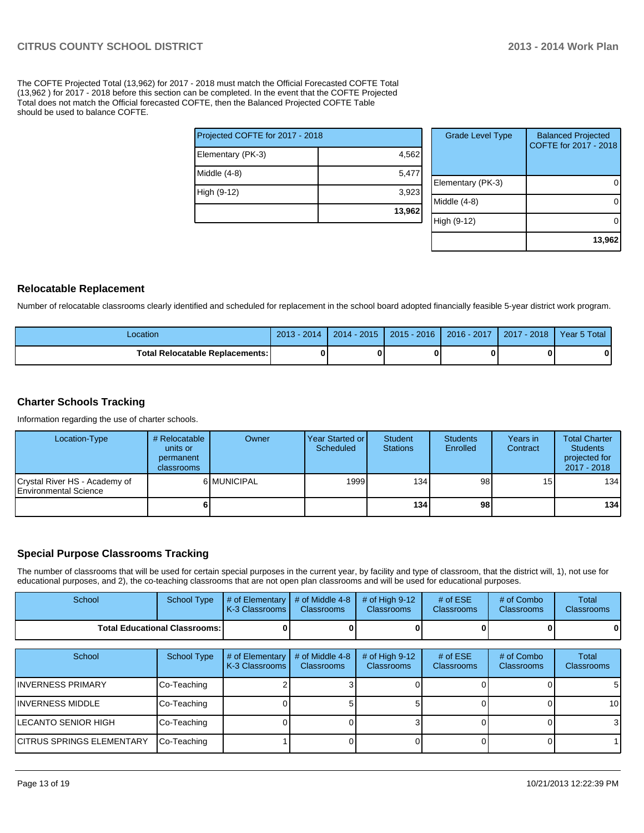The COFTE Projected Total (13,962) for 2017 - 2018 must match the Official Forecasted COFTE Total (13,962 ) for 2017 - 2018 before this section can be completed. In the event that the COFTE Projected Total does not match the Official forecasted COFTE, then the Balanced Projected COFTE Table should be used to balance COFTE.

|                                 | 13,962 |  |  |  |  |  |
|---------------------------------|--------|--|--|--|--|--|
| High (9-12)                     | 3,923  |  |  |  |  |  |
| Middle (4-8)                    | 5,477  |  |  |  |  |  |
| Elementary (PK-3)               | 4,562  |  |  |  |  |  |
| Projected COFTE for 2017 - 2018 |        |  |  |  |  |  |

| <b>Grade Level Type</b> | <b>Balanced Projected</b><br>COFTE for 2017 - 2018 |
|-------------------------|----------------------------------------------------|
| Elementary (PK-3)       |                                                    |
| Middle (4-8)            |                                                    |
| High (9-12)             |                                                    |
|                         | 13,962                                             |

### **Relocatable Replacement**

Number of relocatable classrooms clearly identified and scheduled for replacement in the school board adopted financially feasible 5-year district work program.

| Location                                 | $2013 - 2014$ | 2014 - 2015 | $2015 - 2016$ | $2016 - 2017$ | 2017 - 2018 | Year 5 Total |
|------------------------------------------|---------------|-------------|---------------|---------------|-------------|--------------|
| <b>Total Relocatable Replacements: I</b> |               |             |               |               |             |              |

### **Charter Schools Tracking**

Information regarding the use of charter schools.

| Location-Type                                                  | # Relocatable<br>units or<br>permanent<br><b>classrooms</b> | Owner       | Year Started or<br>Scheduled | Student<br><b>Stations</b> | <b>Students</b><br>Enrolled | Years in<br>Contract | <b>Total Charter</b><br><b>Students</b><br>projected for<br>2017 - 2018 |
|----------------------------------------------------------------|-------------------------------------------------------------|-------------|------------------------------|----------------------------|-----------------------------|----------------------|-------------------------------------------------------------------------|
| Crystal River HS - Academy of<br><b>IEnvironmental Science</b> |                                                             | 6 MUNICIPAL | 1999                         | 134 <sup>1</sup>           | 98                          | 15 <sub>l</sub>      | 134                                                                     |
|                                                                |                                                             |             |                              | 134 l                      | 98 I                        |                      | 134                                                                     |

## **Special Purpose Classrooms Tracking**

The number of classrooms that will be used for certain special purposes in the current year, by facility and type of classroom, that the district will, 1), not use for educational purposes, and 2), the co-teaching classrooms that are not open plan classrooms and will be used for educational purposes.

| School                                 | School Type | $\parallel$ # of Elementary $\parallel$ # of Middle 4-8 $\parallel$ # of High 9-12<br><b>I</b> K-3 Classrooms I | <b>Classrooms</b> | <b>Classrooms</b> | # of $ESE$<br><b>Classrooms</b> | # of Combo<br><b>Classrooms</b> | Total<br><b>Classrooms</b> |
|----------------------------------------|-------------|-----------------------------------------------------------------------------------------------------------------|-------------------|-------------------|---------------------------------|---------------------------------|----------------------------|
| <b>Total Educational Classrooms: I</b> |             |                                                                                                                 |                   |                   | OΙ                              | 0                               | 0                          |

| School                            | School Type | # of Elementary<br>K-3 Classrooms | # of Middle 4-8<br><b>Classrooms</b> | # of High $9-12$<br><b>Classrooms</b> | # of $ESE$<br>Classrooms | # of Combo<br><b>Classrooms</b> | Total<br><b>Classrooms</b> |
|-----------------------------------|-------------|-----------------------------------|--------------------------------------|---------------------------------------|--------------------------|---------------------------------|----------------------------|
| IINVERNESS PRIMARY                | Co-Teaching |                                   |                                      |                                       |                          |                                 | 51                         |
| IINVERNESS MIDDLE                 | Co-Teaching |                                   |                                      |                                       |                          |                                 | 10 <sup>1</sup>            |
| LECANTO SENIOR HIGH               | Co-Teaching |                                   |                                      |                                       |                          |                                 | 3                          |
| <b>ICITRUS SPRINGS ELEMENTARY</b> | Co-Teaching |                                   |                                      |                                       |                          |                                 |                            |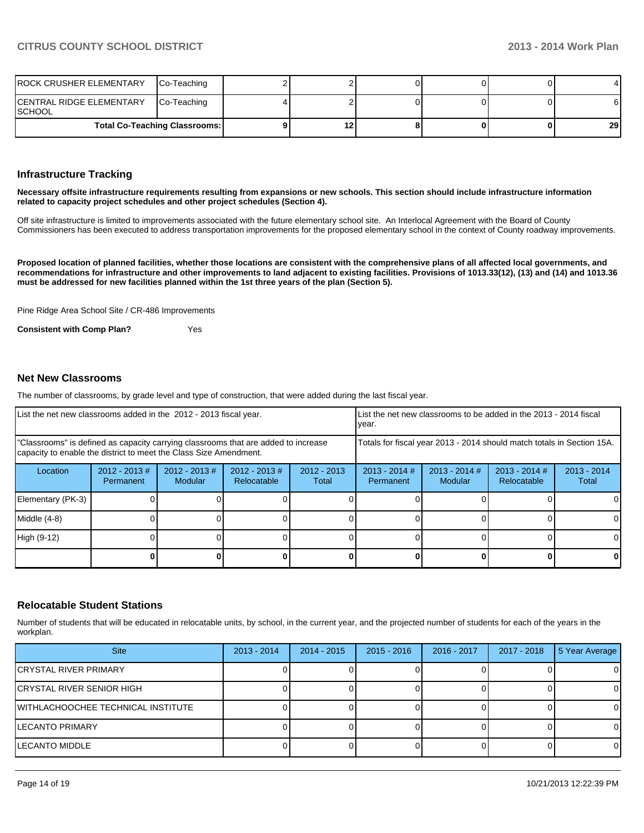| <b>ROCK CRUSHER ELEMENTARY</b>       | Co-Teaching |    |  |    |
|--------------------------------------|-------------|----|--|----|
| CENTRAL RIDGE ELEMENTARY<br>ISCHOOL  | Co-Teaching |    |  | 61 |
| <b>Total Co-Teaching Classrooms:</b> |             | 12 |  | 29 |

### **Infrastructure Tracking**

**Necessary offsite infrastructure requirements resulting from expansions or new schools. This section should include infrastructure information related to capacity project schedules and other project schedules (Section 4).**

Off site infrastructure is limited to improvements associated with the future elementary school site. An Interlocal Agreement with the Board of County Commissioners has been executed to address transportation improvements for the proposed elementary school in the context of County roadway improvements.

**Proposed location of planned facilities, whether those locations are consistent with the comprehensive plans of all affected local governments, and recommendations for infrastructure and other improvements to land adjacent to existing facilities. Provisions of 1013.33(12), (13) and (14) and 1013.36 must be addressed for new facilities planned within the 1st three years of the plan (Section 5).**

Pine Ridge Area School Site / CR-486 Improvements

**Consistent with Comp Plan?** Yes

### **Net New Classrooms**

The number of classrooms, by grade level and type of construction, that were added during the last fiscal year.

| List the net new classrooms added in the 2012 - 2013 fiscal year. |                                                                                                                                                         |                                   |                                |                                                                        | Ivear.                       | Llist the net new classrooms to be added in the 2013 - 2014 fiscal |                                |                        |
|-------------------------------------------------------------------|---------------------------------------------------------------------------------------------------------------------------------------------------------|-----------------------------------|--------------------------------|------------------------------------------------------------------------|------------------------------|--------------------------------------------------------------------|--------------------------------|------------------------|
|                                                                   | "Classrooms" is defined as capacity carrying classrooms that are added to increase<br>capacity to enable the district to meet the Class Size Amendment. |                                   |                                | Totals for fiscal year 2013 - 2014 should match totals in Section 15A. |                              |                                                                    |                                |                        |
| Location                                                          | $2012 - 2013$ #<br>Permanent                                                                                                                            | $2012 - 2013$ #<br><b>Modular</b> | $2012 - 2013$ #<br>Relocatable | $2012 - 2013$<br>Total                                                 | $2013 - 2014$ #<br>Permanent | $2013 - 2014$ #<br><b>Modular</b>                                  | $2013 - 2014$ #<br>Relocatable | $2013 - 2014$<br>Total |
| Elementary (PK-3)                                                 |                                                                                                                                                         |                                   |                                |                                                                        |                              |                                                                    |                                | 0                      |
| Middle (4-8)                                                      |                                                                                                                                                         |                                   |                                |                                                                        |                              |                                                                    |                                | 0                      |
| High (9-12)                                                       |                                                                                                                                                         |                                   |                                |                                                                        |                              |                                                                    |                                | 0                      |
|                                                                   |                                                                                                                                                         |                                   |                                |                                                                        |                              |                                                                    |                                | 0                      |

### **Relocatable Student Stations**

Number of students that will be educated in relocatable units, by school, in the current year, and the projected number of students for each of the years in the workplan.

| <b>Site</b>                        | $2013 - 2014$ | $2014 - 2015$ | $2015 - 2016$ | 2016 - 2017 | 2017 - 2018 | 5 Year Average |
|------------------------------------|---------------|---------------|---------------|-------------|-------------|----------------|
| CRYSTAL RIVER PRIMARY              |               |               |               |             |             | $\Omega$       |
| ICRYSTAL RIVER SENIOR HIGH         |               |               |               |             |             | $\Omega$       |
| WITHLACHOOCHEE TECHNICAL INSTITUTE |               |               |               |             |             | 0              |
| <b>LECANTO PRIMARY</b>             |               |               |               |             |             | $\Omega$       |
| <b>LECANTO MIDDLE</b>              |               |               |               |             |             | $\Omega$       |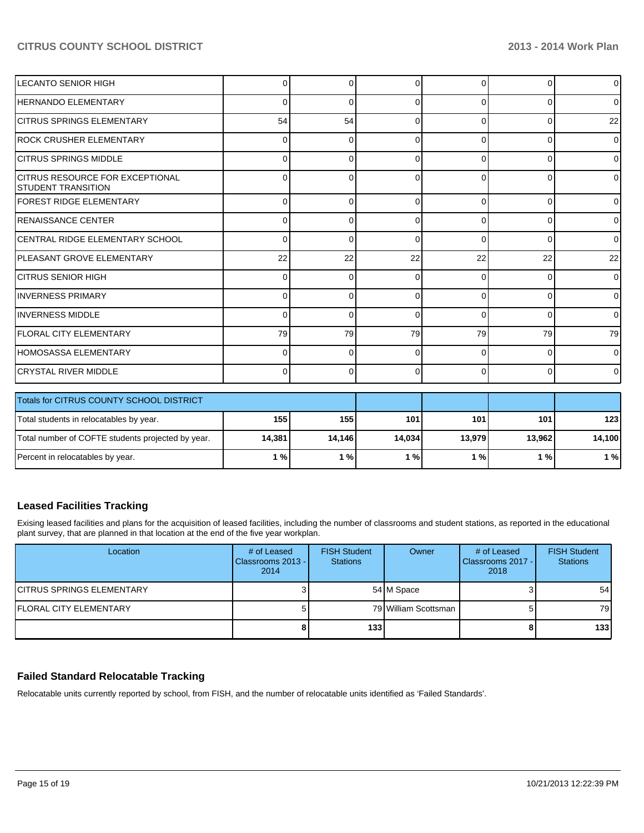| LECANTO SENIOR HIGH                                            | 0        | 0        | <sup>0</sup> | $\Omega$ | $\Omega$ | $\overline{0}$ |
|----------------------------------------------------------------|----------|----------|--------------|----------|----------|----------------|
| HERNANDO ELEMENTARY                                            | 0        | $\Omega$ | 0            | 0        | $\Omega$ | $\overline{0}$ |
| <b>CITRUS SPRINGS ELEMENTARY</b>                               | 54       | 54       | $\Omega$     | 0        | 0        | 22             |
| IROCK CRUSHER ELEMENTARY                                       | $\Omega$ | $\Omega$ | ∩            | 0        | $\Omega$ | $\Omega$       |
| ICITRUS SPRINGS MIDDLE                                         | 0        | 0        | ∩            | 0        | $\Omega$ | $\overline{0}$ |
| <b>ICITRUS RESOURCE FOR EXCEPTIONAL</b><br>ISTUDENT TRANSITION | 0        | $\Omega$ | O            | U        | $\Omega$ | $\overline{0}$ |
| FOREST RIDGE ELEMENTARY                                        | $\Omega$ | $\Omega$ | <sup>0</sup> | 0        | $\Omega$ | $\overline{0}$ |
| <b>RENAISSANCE CENTER</b>                                      | 0        | $\Omega$ | 0            | 0        | $\Omega$ | $\overline{0}$ |
| ICENTRAL RIDGE ELEMENTARY SCHOOL                               | 0        | $\Omega$ | $\Omega$     | 0        | $\Omega$ | $\overline{0}$ |
| IPLEASANT GROVE ELEMENTARY                                     | 22       | 22       | 22           | 22       | 22       | 22             |
| ICITRUS SENIOR HIGH                                            | 0        | $\Omega$ | n            | 0        | $\Omega$ | $\overline{0}$ |
| IINVERNESS PRIMARY                                             | $\Omega$ | $\Omega$ | ∩            | 0        | $\Omega$ | $\overline{0}$ |
| <b>IINVERNESS MIDDLE</b>                                       | $\Omega$ | $\Omega$ | 0            | 0        | $\Omega$ | $\Omega$       |
| FLORAL CITY ELEMENTARY                                         | 79       | 79       | 79           | 79       | 79       | 79             |
| HOMOSASSA ELEMENTARY                                           | $\Omega$ | $\Omega$ | 0            | $\Omega$ | $\Omega$ | $\overline{0}$ |
| İCRYSTAL RIVER MIDDLE                                          | $\Omega$ | $\Omega$ | $\Omega$     | $\Omega$ | $\Omega$ | $\overline{0}$ |
| Totals for CITRUS COUNTY SCHOOL DISTRICT                       |          |          |              |          |          |                |
| Total students in relocatables by year.                        | 155      | 155      | 101          | 101      | 101      | 123            |

| TULCI STUDENTS IN FERROLLATORS DV VEGIT.          |        | וטעו   | 1 V I I | 1 V I I       | 1 V I I |        |
|---------------------------------------------------|--------|--------|---------|---------------|---------|--------|
| Total number of COFTE students projected by year. | 14,381 | 14.146 | 14,034  | 13.979        | 13.962  | 14,100 |
| Percent in relocatables by year.                  | ໍ%.    | %۱     | ' %I    | $\frac{1}{6}$ | ຶ% ເ    | 1 %    |
|                                                   |        |        |         |               |         |        |

## **Leased Facilities Tracking**

Exising leased facilities and plans for the acquisition of leased facilities, including the number of classrooms and student stations, as reported in the educational plant survey, that are planned in that location at the end of the five year workplan.

| Location                          | # of Leased<br>Classrooms 2013 - I<br>2014 | <b>FISH Student</b><br><b>Stations</b> | Owner                | # of Leased<br>l Classrooms 2017 - I<br>2018 | <b>FISH Student</b><br><b>Stations</b> |
|-----------------------------------|--------------------------------------------|----------------------------------------|----------------------|----------------------------------------------|----------------------------------------|
| <b>ICITRUS SPRINGS ELEMENTARY</b> |                                            |                                        | 54 M Space           |                                              | 54                                     |
| <b>IFLORAL CITY ELEMENTARY</b>    |                                            |                                        | 79 William Scottsman |                                              | 79 I                                   |
|                                   |                                            | 133 l                                  |                      | 8                                            | 133                                    |

# **Failed Standard Relocatable Tracking**

Relocatable units currently reported by school, from FISH, and the number of relocatable units identified as 'Failed Standards'.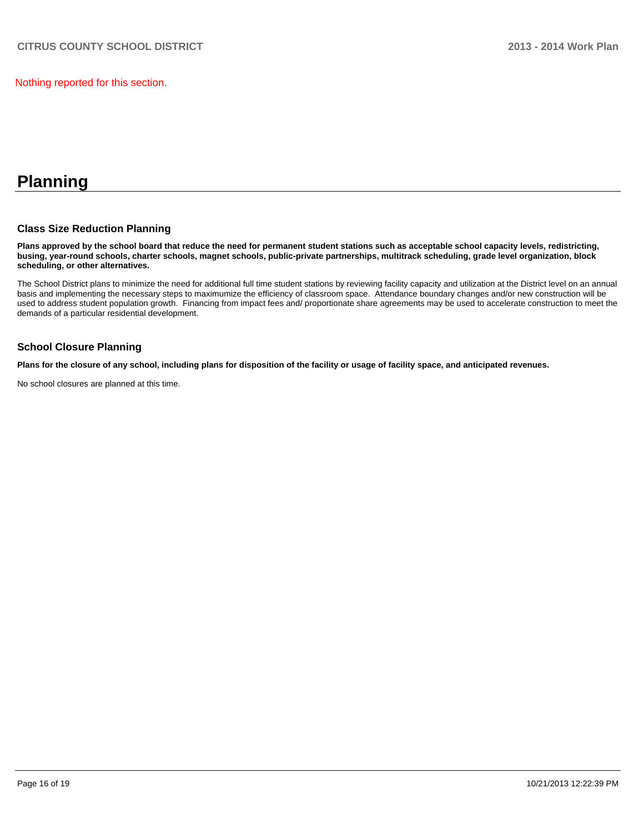Nothing reported for this section.

# **Planning**

### **Class Size Reduction Planning**

**Plans approved by the school board that reduce the need for permanent student stations such as acceptable school capacity levels, redistricting, busing, year-round schools, charter schools, magnet schools, public-private partnerships, multitrack scheduling, grade level organization, block scheduling, or other alternatives.**

The School District plans to minimize the need for additional full time student stations by reviewing facility capacity and utilization at the District level on an annual basis and implementing the necessary steps to maximumize the efficiency of classroom space. Attendance boundary changes and/or new construction will be used to address student population growth. Financing from impact fees and/ proportionate share agreements may be used to accelerate construction to meet the demands of a particular residential development.

### **School Closure Planning**

**Plans for the closure of any school, including plans for disposition of the facility or usage of facility space, and anticipated revenues.**

No school closures are planned at this time.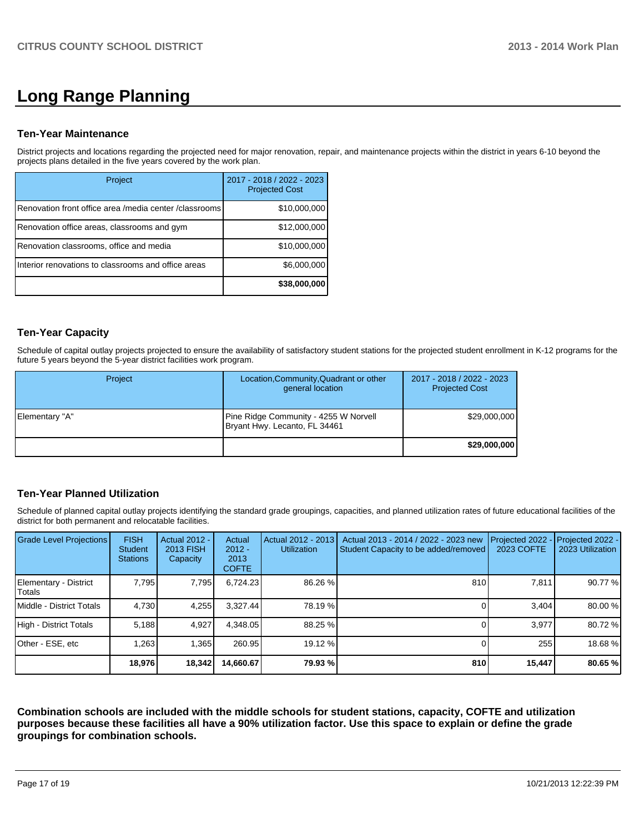# **Long Range Planning**

### **Ten-Year Maintenance**

District projects and locations regarding the projected need for major renovation, repair, and maintenance projects within the district in years 6-10 beyond the projects plans detailed in the five years covered by the work plan.

| Project                                                | 2017 - 2018 / 2022 - 2023<br><b>Projected Cost</b> |
|--------------------------------------------------------|----------------------------------------------------|
| Renovation front office area /media center /classrooms | \$10,000,000                                       |
| Renovation office areas, classrooms and gym            | \$12,000,000                                       |
| Renovation classrooms, office and media                | \$10,000,000                                       |
| Interior renovations to classrooms and office areas    | \$6,000,000                                        |
|                                                        | \$38,000,000                                       |

## **Ten-Year Capacity**

Schedule of capital outlay projects projected to ensure the availability of satisfactory student stations for the projected student enrollment in K-12 programs for the future 5 years beyond the 5-year district facilities work program.

| Project        | Location, Community, Quadrant or other<br>general location             | 2017 - 2018 / 2022 - 2023<br><b>Projected Cost</b> |
|----------------|------------------------------------------------------------------------|----------------------------------------------------|
| Elementary "A" | Pine Ridge Community - 4255 W Norvell<br>Bryant Hwy. Lecanto, FL 34461 | \$29,000,000                                       |
|                |                                                                        | \$29,000,000                                       |

# **Ten-Year Planned Utilization**

Schedule of planned capital outlay projects identifying the standard grade groupings, capacities, and planned utilization rates of future educational facilities of the district for both permanent and relocatable facilities.

| <b>Grade Level Projections</b>  | <b>FISH</b><br><b>Student</b><br><b>Stations</b> | <b>Actual 2012 -</b><br>2013 FISH<br>Capacity | Actual<br>$2012 -$<br>2013<br><b>COFTE</b> | Actual 2012 - 2013<br>Utilization | Actual 2013 - 2014 / 2022 - 2023 new<br>Student Capacity to be added/removed | Projected 2022<br><b>2023 COFTE</b> | Projected 2022 -<br>2023 Utilization |
|---------------------------------|--------------------------------------------------|-----------------------------------------------|--------------------------------------------|-----------------------------------|------------------------------------------------------------------------------|-------------------------------------|--------------------------------------|
| Elementary - District<br>Totals | 7,795                                            | 7,795                                         | 6,724.23                                   | 86.26 %                           | 810                                                                          | 7,811                               | 90.77 %                              |
| Middle - District Totals        | 4.730                                            | 4,255                                         | 3.327.44                                   | 78.19 %                           |                                                                              | 3.404                               | 80.00 %                              |
| High - District Totals          | 5.188                                            | 4.927                                         | 4.348.05                                   | 88.25 %                           |                                                                              | 3.977                               | 80.72 %                              |
| Other - ESE, etc                | 1.263                                            | 1.365                                         | 260.95                                     | 19.12 %                           |                                                                              | 255                                 | 18.68%                               |
|                                 | 18,976                                           | 18,342                                        | 14,660.67                                  | 79.93 %                           | 810                                                                          | 15,447                              | 80.65 %                              |

**Combination schools are included with the middle schools for student stations, capacity, COFTE and utilization purposes because these facilities all have a 90% utilization factor. Use this space to explain or define the grade groupings for combination schools.**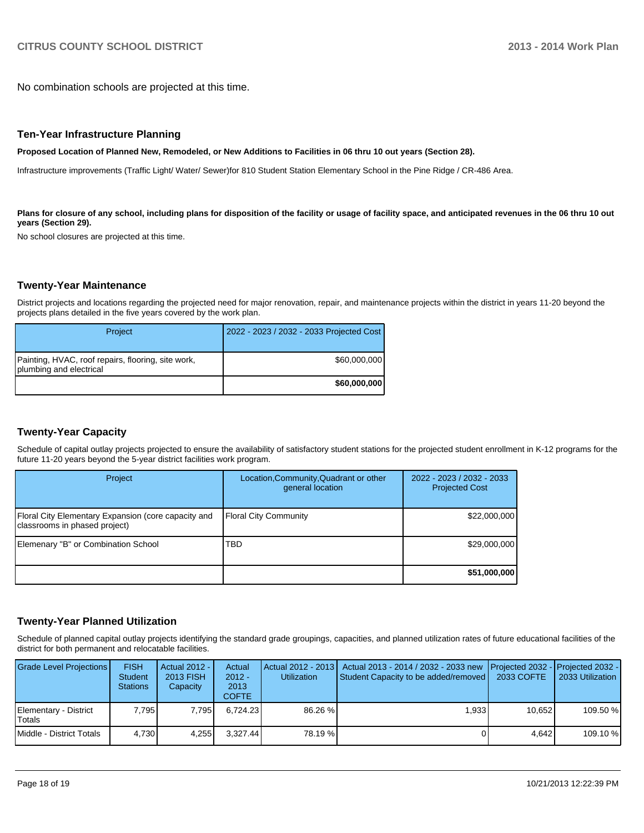No combination schools are projected at this time.

### **Ten-Year Infrastructure Planning**

#### **Proposed Location of Planned New, Remodeled, or New Additions to Facilities in 06 thru 10 out years (Section 28).**

Infrastructure improvements (Traffic Light/ Water/ Sewer)for 810 Student Station Elementary School in the Pine Ridge / CR-486 Area.

Plans for closure of any school, including plans for disposition of the facility or usage of facility space, and anticipated revenues in the 06 thru 10 out **years (Section 29).**

No school closures are projected at this time.

### **Twenty-Year Maintenance**

District projects and locations regarding the projected need for major renovation, repair, and maintenance projects within the district in years 11-20 beyond the projects plans detailed in the five years covered by the work plan.

| Project                                                                       | 2022 - 2023 / 2032 - 2033 Projected Cost |
|-------------------------------------------------------------------------------|------------------------------------------|
| Painting, HVAC, roof repairs, flooring, site work,<br>plumbing and electrical | \$60,000,000                             |
|                                                                               | \$60,000,000                             |

# **Twenty-Year Capacity**

Schedule of capital outlay projects projected to ensure the availability of satisfactory student stations for the projected student enrollment in K-12 programs for the future 11-20 years beyond the 5-year district facilities work program.

| Project                                                                              | Location, Community, Quadrant or other<br>general location | 2022 - 2023 / 2032 - 2033<br><b>Projected Cost</b> |
|--------------------------------------------------------------------------------------|------------------------------------------------------------|----------------------------------------------------|
| Floral City Elementary Expansion (core capacity and<br>classrooms in phased project) | <b>Floral City Community</b>                               | \$22,000,000                                       |
| Elemenary "B" or Combination School                                                  | TBD                                                        | \$29,000,000                                       |
|                                                                                      |                                                            | \$51,000,000                                       |

### **Twenty-Year Planned Utilization**

Schedule of planned capital outlay projects identifying the standard grade groupings, capacities, and planned utilization rates of future educational facilities of the district for both permanent and relocatable facilities.

| <b>Grade Level Projections</b>  | <b>FISH</b><br><b>Student</b><br><b>Stations</b> | Actual 2012 -<br>2013 FISH<br>Capacity | Actual<br>$2012 -$<br>2013<br><b>COFTE</b> | <b>Utilization</b> | Actual 2012 - 2013   Actual 2013 - 2014 / 2032 - 2033 new<br>Student Capacity to be added/removed   2033 COFTE | Projected 2032 - Projected 2032 - | 2033 Utilization |
|---------------------------------|--------------------------------------------------|----------------------------------------|--------------------------------------------|--------------------|----------------------------------------------------------------------------------------------------------------|-----------------------------------|------------------|
| Elementary - District<br>Totals | 7.795                                            | 7.795                                  | 6.724.23                                   | 86.26 %            | 1.933                                                                                                          | 10.652                            | 109.50 %         |
| Middle - District Totals        | 4,730                                            | 4.255                                  | 3.327.44                                   | 78.19 %            |                                                                                                                | 4.642                             | 109.10 %         |